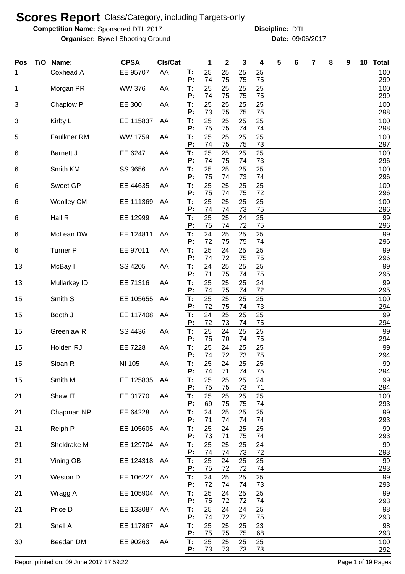**Competition Name:** Sponsored DTL 2017 **Discripline: DTL** 

Bywell Shooting Ground 09/06/2017 **Organiser: Date:**

**Discipline:**

| Pos | T/O | Name:              | <b>CPSA</b>    | CIs/Cat |          | 1        | $\mathbf 2$ | 3        | 4        | 5 | 6 | 7 | 8 | 9 | 10 <sub>1</sub> | <b>Total</b> |
|-----|-----|--------------------|----------------|---------|----------|----------|-------------|----------|----------|---|---|---|---|---|-----------------|--------------|
| 1   |     | Coxhead A          | EE 95707       | AA      | Т:<br>P: | 25<br>74 | 25<br>75    | 25<br>75 | 25<br>75 |   |   |   |   |   |                 | 100<br>299   |
| 1   |     | Morgan PR          | <b>WW 376</b>  | AA      | T:<br>P: | 25<br>74 | 25<br>75    | 25<br>75 | 25<br>75 |   |   |   |   |   |                 | 100<br>299   |
| 3   |     | Chaplow P          | EE 300         | AA      | T:<br>P: | 25<br>73 | 25<br>75    | 25<br>75 | 25<br>75 |   |   |   |   |   |                 | 100<br>298   |
| 3   |     | Kirby L            | EE 115837      | AA      | T:<br>P: | 25<br>75 | 25<br>75    | 25<br>74 | 25<br>74 |   |   |   |   |   |                 | 100<br>298   |
| 5   |     | <b>Faulkner RM</b> | <b>WW 1759</b> | AA      | T:<br>P: | 25<br>74 | 25<br>75    | 25<br>75 | 25<br>73 |   |   |   |   |   |                 | 100<br>297   |
| 6   |     | <b>Barnett J</b>   | EE 6247        | AA      | T:<br>P: | 25<br>74 | 25<br>75    | 25<br>74 | 25<br>73 |   |   |   |   |   |                 | 100<br>296   |
| 6   |     | Smith KM           | SS 3656        | AA      | T:<br>P: | 25<br>75 | 25<br>74    | 25<br>73 | 25<br>74 |   |   |   |   |   |                 | 100<br>296   |
| 6   |     | <b>Sweet GP</b>    | EE 44635       | AA      | T:<br>P: | 25<br>75 | 25<br>74    | 25<br>75 | 25<br>72 |   |   |   |   |   |                 | 100<br>296   |
| 6   |     | <b>Woolley CM</b>  | EE 111369      | AA      | T:<br>P: | 25<br>74 | 25<br>74    | 25<br>73 | 25<br>75 |   |   |   |   |   |                 | 100<br>296   |
| 6   |     | Hall R             | EE 12999       | AA      | T:<br>P: | 25       | 25          | 24       | 25       |   |   |   |   |   |                 | 99           |
| 6   |     | McLean DW          | EE 124811      | AA      | T:       | 75<br>24 | 74<br>25    | 72<br>25 | 75<br>25 |   |   |   |   |   |                 | 296<br>99    |
| 6   |     | <b>Turner P</b>    | EE 97011       | AA      | P:<br>T: | 72<br>25 | 75<br>24    | 75<br>25 | 74<br>25 |   |   |   |   |   |                 | 296<br>99    |
| 13  |     | McBay I            | SS 4205        | AA      | P:<br>T: | 74<br>24 | 72<br>25    | 75<br>25 | 75<br>25 |   |   |   |   |   |                 | 296<br>99    |
| 13  |     | Mullarkey ID       | EE 71316       | AA      | P:<br>T: | 71<br>25 | 75<br>25    | 74<br>25 | 75<br>24 |   |   |   |   |   |                 | 295<br>99    |
| 15  |     | Smith S            | EE 105655      | AA      | P:<br>T: | 74<br>25 | 75<br>25    | 74<br>25 | 72<br>25 |   |   |   |   |   |                 | 295<br>100   |
| 15  |     | Booth J            | EE 117408      | AA      | P:<br>T: | 72<br>24 | 75<br>25    | 74<br>25 | 73<br>25 |   |   |   |   |   |                 | 294<br>99    |
| 15  |     | Greenlaw R         | SS 4436        | AA      | P:<br>T: | 72<br>25 | 73<br>24    | 74<br>25 | 75<br>25 |   |   |   |   |   |                 | 294<br>99    |
| 15  |     | Holden RJ          | EE 7228        | AA      | P:<br>T: | 75<br>25 | 70<br>24    | 74<br>25 | 75<br>25 |   |   |   |   |   |                 | 294<br>99    |
| 15  |     | Sloan R            | NI 105         | AA      | P:<br>T: | 74<br>25 | 72<br>24    | 73<br>25 | 75<br>25 |   |   |   |   |   |                 | 294<br>99    |
| 15  |     | Smith M            | EE 125835      | AA      | P:<br>T. | 74<br>25 | 71<br>25    | 74<br>25 | 75<br>24 |   |   |   |   |   |                 | 294<br>99    |
| 21  |     | Shaw IT            | EE 31770       | AA      | P:<br>Т. | 75<br>25 | 75<br>25    | 73<br>25 | 71<br>25 |   |   |   |   |   |                 | 294<br>100   |
| 21  |     | Chapman NP         | EE 64228       | AA      | P:<br>T: | 69<br>24 | 75<br>25    | 75<br>25 | 74<br>25 |   |   |   |   |   |                 | 293<br>99    |
| 21  |     | Relph P            | EE 105605      | AA      | P:<br>T. | 71<br>25 | 74<br>24    | 74<br>25 | 74<br>25 |   |   |   |   |   |                 | 293<br>99    |
| 21  |     | Sheldrake M        | EE 129704 AA   |         | P:<br>Т. | 73<br>25 | 71<br>25    | 75<br>25 | 74<br>24 |   |   |   |   |   |                 | 293<br>99    |
| 21  |     | Vining OB          | EE 124318      | AA      | P:<br>T. | 74<br>25 | 74<br>24    | 73<br>25 | 72<br>25 |   |   |   |   |   |                 | 293<br>99    |
| 21  |     | Weston D           | EE 106227      | AA      | P:<br>T: | 75<br>24 | 72<br>25    | 72<br>25 | 74<br>25 |   |   |   |   |   |                 | 293<br>99    |
| 21  |     | Wragg A            | EE 105904      | AA      | P:<br>T. | 72<br>25 | 74<br>24    | 74<br>25 | 73<br>25 |   |   |   |   |   |                 | 293<br>99    |
| 21  |     | Price D            | EE 133087      | AA      | P:<br>T. | 75<br>25 | 72<br>24    | 72<br>24 | 74<br>25 |   |   |   |   |   |                 | 293<br>98    |
| 21  |     | Snell A            | EE 117867      | AA      | P:<br>T. | 74<br>25 | 72<br>25    | 72<br>25 | 75<br>23 |   |   |   |   |   |                 | 293<br>98    |
|     |     |                    |                |         | P:       | 75<br>25 | 75          | 75       | 68       |   |   |   |   |   |                 | 293          |
| 30  |     | Beedan DM          | EE 90263       | AA      | T.<br>Ρ: | 73       | 25<br>73    | 25<br>73 | 25<br>73 |   |   |   |   |   |                 | 100<br>292   |

Report printed on: 09 June 2017 17:59:22 Page 1 of 19 Pages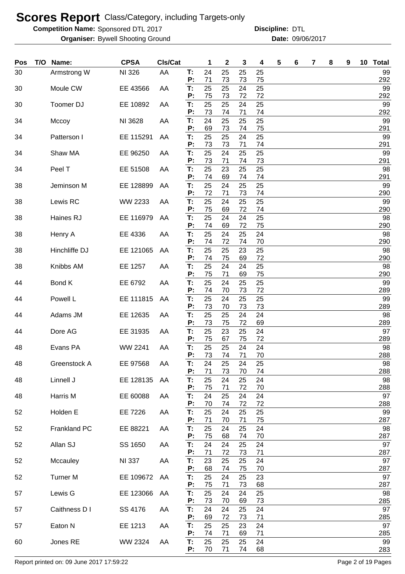**Competition Name:** Sponsored DTL 2017 **Discripline: DTL** 

Bywell Shooting Ground 09/06/2017 **Organiser: Date:**

**Discipline:**

| Pos | T/O Name:       | <b>CPSA</b>   | CIs/Cat |          | 1        | $\mathbf{2}$ | 3        | 4        | 5 | 6 | 7 | 8 | 9 | 10 | <b>Total</b> |
|-----|-----------------|---------------|---------|----------|----------|--------------|----------|----------|---|---|---|---|---|----|--------------|
| 30  | Armstrong W     | NI 326        | AA      | Т:<br>P: | 24<br>71 | 25<br>73     | 25<br>73 | 25<br>75 |   |   |   |   |   |    | 99<br>292    |
| 30  | Moule CW        | EE 43566      | AA      | T:<br>P: | 25<br>75 | 25<br>73     | 24<br>72 | 25<br>72 |   |   |   |   |   |    | 99<br>292    |
| 30  | Toomer DJ       | EE 10892      | AA      | T:       | 25       | 25           | 24       | 25       |   |   |   |   |   |    | 99           |
| 34  | Mccoy           | NI 3628       | AA      | P:<br>T: | 73<br>24 | 74<br>25     | 71<br>25 | 74<br>25 |   |   |   |   |   |    | 292<br>99    |
| 34  | Patterson I     | EE 115291     | AA      | P:<br>T: | 69<br>25 | 73<br>25     | 74<br>24 | 75<br>25 |   |   |   |   |   |    | 291<br>99    |
|     |                 |               |         | P:       | 73       | 73           | 71       | 74       |   |   |   |   |   |    | 291          |
| 34  | Shaw MA         | EE 96250      | AA      | T:<br>P: | 25<br>73 | 24<br>71     | 25<br>74 | 25<br>73 |   |   |   |   |   |    | 99<br>291    |
| 34  | Peel T          | EE 51508      | AA      | T:<br>P: | 25<br>74 | 23<br>69     | 25<br>74 | 25<br>74 |   |   |   |   |   |    | 98<br>291    |
| 38  | Jeminson M      | EE 128899     | AA      | Т.<br>P: | 25<br>72 | 24<br>71     | 25<br>73 | 25<br>74 |   |   |   |   |   |    | 99<br>290    |
| 38  | Lewis RC        | WW 2233       | AA      | T:       | 25       | 24           | 25       | 25       |   |   |   |   |   |    | 99           |
| 38  | Haines RJ       | EE 116979     | AA      | P:<br>T: | 75<br>25 | 69<br>24     | 72<br>24 | 74<br>25 |   |   |   |   |   |    | 290<br>98    |
| 38  | Henry A         | EE 4336       | AA      | P:<br>T: | 74<br>25 | 69<br>24     | 72<br>25 | 75<br>24 |   |   |   |   |   |    | 290<br>98    |
|     |                 |               |         | P:       | 74       | 72           | 74       | 70       |   |   |   |   |   |    | 290          |
| 38  | Hinchliffe DJ   | EE 121065     | AA      | T:<br>P: | 25<br>74 | 25<br>75     | 23<br>69 | 25<br>72 |   |   |   |   |   |    | 98<br>290    |
| 38  | Knibbs AM       | EE 1257       | AA      | T:<br>P: | 25<br>75 | 24<br>71     | 24<br>69 | 25<br>75 |   |   |   |   |   |    | 98<br>290    |
| 44  | Bond K          | EE 6792       | AA      | T:<br>P: | 25<br>74 | 24           | 25<br>73 | 25       |   |   |   |   |   |    | 99           |
| 44  | Powell L        | EE 111815     | AA      | T:       | 25       | 70<br>24     | 25       | 72<br>25 |   |   |   |   |   |    | 289<br>99    |
| 44  | Adams JM        | EE 12635      | AA      | P:<br>T: | 73<br>25 | 70<br>25     | 73<br>24 | 73<br>24 |   |   |   |   |   |    | 289<br>98    |
| 44  | Dore AG         | EE 31935      | AA      | P:<br>T: | 73<br>25 | 75<br>23     | 72<br>25 | 69<br>24 |   |   |   |   |   |    | 289<br>97    |
|     |                 |               |         | P:       | 75       | 67           | 75       | 72       |   |   |   |   |   |    | 289          |
| 48  | Evans PA        | WW 2241       | AA      | T:<br>P: | 25<br>73 | 25<br>74     | 24<br>71 | 24<br>70 |   |   |   |   |   |    | 98<br>288    |
| 48  | Greenstock A    | EE 97568      | AA      | Т.<br>P: | 24<br>71 | 25<br>73     | 24<br>70 | 25<br>74 |   |   |   |   |   |    | 98<br>288    |
| 48  | Linnell J       | EE 128135     | AA      | T.<br>P: | 25<br>75 | 24           | 25       | 24       |   |   |   |   |   |    | 98<br>288    |
| 48  | Harris M        | EE 60088      | AA      | T:       | 24       | 71<br>25     | 72<br>24 | 70<br>24 |   |   |   |   |   |    | 97           |
| 52  | Holden E        | EE 7226       | AA      | P:<br>T: | 70<br>25 | 74<br>24     | 72<br>25 | 72<br>25 |   |   |   |   |   |    | 288<br>99    |
| 52  | Frankland PC    | EE 88221      | AA      | P:<br>T: | 71<br>25 | 70<br>24     | 71<br>25 | 75<br>24 |   |   |   |   |   |    | 287<br>98    |
|     |                 |               |         | P:       | 75       | 68           | 74       | 70       |   |   |   |   |   |    | 287          |
| 52  | Allan SJ        | SS 1650       | AA      | T:<br>P: | 24<br>71 | 24<br>72     | 25<br>73 | 24<br>71 |   |   |   |   |   |    | 97<br>287    |
| 52  | Mccauley        | <b>NI 337</b> | AA      | T:<br>P: | 23<br>68 | 25<br>74     | 25<br>75 | 24<br>70 |   |   |   |   |   |    | 97<br>287    |
| 52  | <b>Turner M</b> | EE 109672     | AA      | T:       | 25       | 24           | 25       | 23       |   |   |   |   |   |    | 97           |
| 57  | Lewis G         | EE 123066     | AA      | P:<br>T: | 75<br>25 | 71<br>24     | 73<br>24 | 68<br>25 |   |   |   |   |   |    | 287<br>98    |
| 57  | Caithness D I   | SS 4176       | AA      | P:<br>T: | 73<br>24 | 70<br>24     | 69<br>25 | 73<br>24 |   |   |   |   |   |    | 285<br>97    |
|     |                 |               |         | P:       | 69       | 72           | 73       | 71       |   |   |   |   |   |    | 285          |
| 57  | Eaton N         | EE 1213       | AA      | T:<br>P: | 25<br>74 | 25<br>71     | 23<br>69 | 24<br>71 |   |   |   |   |   |    | 97<br>285    |
| 60  | Jones RE        | WW 2324       | AA      | T:<br>P: | 25<br>70 | 25<br>71     | 25<br>74 | 24<br>68 |   |   |   |   |   |    | 99<br>283    |

Report printed on: 09 June 2017 17:59:22 Page 2 of 19 Pages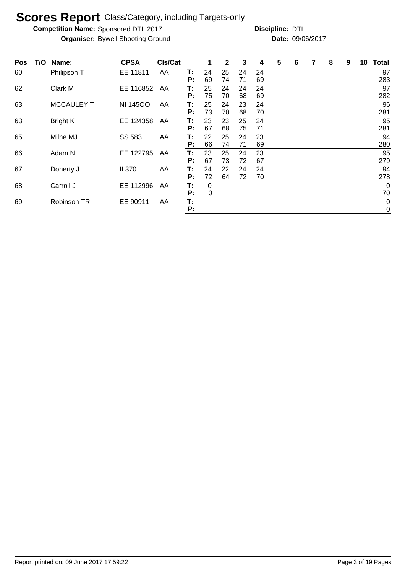**Competition Name:** Sponsored DTL 2017 **Discripline: DTL** 

| Pos | T/O | Name:             | <b>CPSA</b>     | <b>CIs/Cat</b> |          | 1        | $\mathbf{2}$ | 3        | 4        | 5 | 6 | 7 | 8 | 9 | 10 | <b>Total</b>               |
|-----|-----|-------------------|-----------------|----------------|----------|----------|--------------|----------|----------|---|---|---|---|---|----|----------------------------|
| 60  |     | Philipson T       | EE 11811        | AA             | Т:<br>P: | 24<br>69 | 25<br>74     | 24<br>71 | 24<br>69 |   |   |   |   |   |    | 97<br>283                  |
| 62  |     | Clark M           | EE 116852       | AA             | Т:<br>P: | 25<br>75 | 24<br>70     | 24<br>68 | 24<br>69 |   |   |   |   |   |    | 97<br>282                  |
| 63  |     | <b>MCCAULEY T</b> | <b>NI 14500</b> | AA             | Т:<br>P: | 25<br>73 | 24<br>70     | 23<br>68 | 24<br>70 |   |   |   |   |   |    | 96<br>281                  |
| 63  |     | <b>Bright K</b>   | EE 124358       | AA             | Т.<br>P: | 23<br>67 | 23<br>68     | 25<br>75 | 24<br>71 |   |   |   |   |   |    | 95<br>281                  |
| 65  |     | Milne MJ          | SS 583          | AA             | Т:<br>P: | 22<br>66 | 25<br>74     | 24<br>71 | 23<br>69 |   |   |   |   |   |    | 94<br>280                  |
| 66  |     | Adam N            | EE 122795       | AA             | Т.<br>P: | 23<br>67 | 25<br>73     | 24<br>72 | 23<br>67 |   |   |   |   |   |    | 95<br>279                  |
| 67  |     | Doherty J         | <b>II 370</b>   | AA             | Т.<br>P: | 24<br>72 | 22<br>64     | 24<br>72 | 24<br>70 |   |   |   |   |   |    | 94<br>278                  |
| 68  |     | Carroll J         | EE 112996       | AA             | Т:<br>P: | 0<br>0   |              |          |          |   |   |   |   |   |    | $\overline{0}$<br>70       |
| 69  |     | Robinson TR       | EE 90911        | AA             | Т:<br>P: |          |              |          |          |   |   |   |   |   |    | $\mathbf 0$<br>$\mathbf 0$ |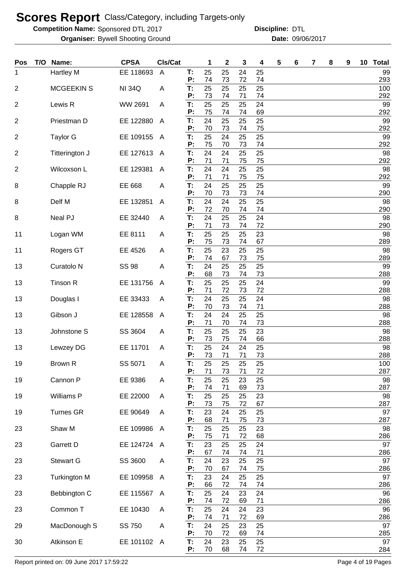**Competition Name:** Sponsored DTL 2017 **Discripline: DTL** 

Bywell Shooting Ground 09/06/2017 **Organiser: Date:**

**Discipline:**

| Pos            | T/O | Name:                 | <b>CPSA</b>   | CIs/Cat        |          | 1        | 2        | 3        | 4        | 5 | 6 | 7 | 8 | 9 | 10 Total   |
|----------------|-----|-----------------------|---------------|----------------|----------|----------|----------|----------|----------|---|---|---|---|---|------------|
| 1              |     | Hartley M             | EE 118693     | $\overline{A}$ | T:       | 25       | 25       | 24       | 25       |   |   |   |   |   | 99         |
| 2              |     | <b>MCGEEKIN S</b>     | <b>NI 34Q</b> | A              | P:<br>Т: | 74<br>25 | 73<br>25 | 72<br>25 | 74<br>25 |   |   |   |   |   | 293<br>100 |
|                |     |                       |               |                | P:       | 73       | 74       | 71       | 74       |   |   |   |   |   | 292        |
| 2              |     | Lewis R               | WW 2691       | A              | Т:       | 25       | 25       | 25       | 24       |   |   |   |   |   | 99         |
|                |     |                       | EE 122880     | $\overline{A}$ | P:<br>T: | 75<br>24 | 74<br>25 | 74<br>25 | 69<br>25 |   |   |   |   |   | 292<br>99  |
| $\overline{2}$ |     | Priestman D           |               |                | P:       | 70       | 73       | 74       | 75       |   |   |   |   |   | 292        |
| $\overline{2}$ |     | <b>Taylor G</b>       | EE 109155     | A              | T:       | 25       | 24       | 25       | 25       |   |   |   |   |   | 99         |
| 2              |     | Titterington J        | EE 127613     | A              | P:<br>T: | 75<br>24 | 70<br>24 | 73<br>25 | 74<br>25 |   |   |   |   |   | 292<br>98  |
|                |     |                       |               |                | P:       | 71       | 71       | 75       | 75       |   |   |   |   |   | 292        |
| 2              |     | Wilcoxson L           | EE 129381     | A              | T:       | 24       | 24       | 25       | 25       |   |   |   |   |   | 98         |
| 8              |     | Chapple RJ            | EE 668        | A              | P:<br>T: | 71<br>24 | 71<br>25 | 75<br>25 | 75<br>25 |   |   |   |   |   | 292<br>99  |
|                |     |                       |               |                | P:       | 70       | 73       | 73       | 74       |   |   |   |   |   | 290        |
| 8              |     | Delf M                | EE 132851     | A              | T:       | 24       | 24       | 25       | 25       |   |   |   |   |   | 98         |
| 8              |     | Neal PJ               | EE 32440      | A              | Ρ.<br>T: | 72<br>24 | 70<br>25 | 74<br>25 | 74<br>24 |   |   |   |   |   | 290<br>98  |
|                |     |                       |               |                | P:       | 71       | 73       | 74       | 72       |   |   |   |   |   | 290        |
| 11             |     | Logan WM              | EE 8111       | A              | T:       | 25       | 25       | 25       | 23       |   |   |   |   |   | 98         |
| 11             |     | Rogers GT             | EE 4526       | A              | P:<br>T: | 75<br>25 | 73<br>23 | 74<br>25 | 67<br>25 |   |   |   |   |   | 289<br>98  |
|                |     |                       |               |                | Р:       | 74       | 67       | 73       | 75       |   |   |   |   |   | 289        |
| 13             |     | Curatolo <sub>N</sub> | <b>SS 98</b>  | A              | T:       | 24       | 25       | 25       | 25       |   |   |   |   |   | 99         |
| 13             |     | Tinson R              | EE 131756     | A              | P:<br>T: | 68<br>25 | 73<br>25 | 74<br>25 | 73<br>24 |   |   |   |   |   | 288<br>99  |
|                |     |                       |               |                | P:       | 71       | 72       | 73       | 72       |   |   |   |   |   | 288        |
| 13             |     | Douglas I             | EE 33433      | A              | T:       | 24       | 25       | 25       | 24       |   |   |   |   |   | 98         |
| 13             |     | Gibson J              | EE 128558     | A              | P:<br>T: | 70<br>24 | 73<br>24 | 74<br>25 | 71<br>25 |   |   |   |   |   | 288<br>98  |
|                |     |                       |               |                | P:       | 71       | 70       | 74       | 73       |   |   |   |   |   | 288        |
| 13             |     | Johnstone S           | SS 3604       | A              | T:<br>P: | 25<br>73 | 25<br>75 | 25<br>74 | 23<br>66 |   |   |   |   |   | 98<br>288  |
| 13             |     | Lewzey DG             | EE 11701      | A              | T:       | 25       | 24       | 24       | 25       |   |   |   |   |   | 98         |
|                |     |                       |               |                | P:       | 73       | 71       | 71       | 73       |   |   |   |   |   | 288        |
| 19             |     | Brown R               | SS 5071       | A              | Т:<br>P: | 25<br>71 | 25<br>73 | 25<br>71 | 25<br>72 |   |   |   |   |   | 100<br>287 |
| 19             |     | Cannon P              | EE 9386       | A              | T:       | 25       | 25       | 23       | 25       |   |   |   |   |   | 98         |
|                |     |                       |               |                | P:       | 74       | 71       | 69       | 73       |   |   |   |   |   | 287        |
| 19             |     | Williams P            | EE 22000      | A              | T.<br>P: | 25<br>73 | 25<br>75 | 25<br>72 | 23<br>67 |   |   |   |   |   | 98<br>287  |
| 19             |     | <b>Turnes GR</b>      | EE 90649      | A              | Т:       | 23       | 24       | 25       | 25       |   |   |   |   |   | 97         |
|                |     |                       |               |                | P:       | 68       | 71       | 75       | 73       |   |   |   |   |   | 287        |
| 23             |     | Shaw M                | EE 109986     | A              | Т:<br>P: | 25<br>75 | 25<br>71 | 25<br>72 | 23<br>68 |   |   |   |   |   | 98<br>286  |
| 23             |     | Garrett D             | EE 124724 A   |                | T.       | 23       | 25       | 25       | 24       |   |   |   |   |   | 97         |
|                |     |                       |               |                | P:       | 67       | 74       | 74       | 71       |   |   |   |   |   | 286        |
| 23             |     | <b>Stewart G</b>      | SS 3600       | Α              | Т:<br>P: | 24<br>70 | 23<br>67 | 25<br>74 | 25<br>75 |   |   |   |   |   | 97<br>286  |
| 23             |     | <b>Turkington M</b>   | EE 109958     | A              | Т:       | 23       | 24       | 25       | 25       |   |   |   |   |   | 97         |
|                |     |                       |               |                | P:       | 66       | 72       | 74       | 74       |   |   |   |   |   | 286        |
| 23             |     | Bebbington C          | EE 115567     | A              | T:<br>P: | 25<br>74 | 24<br>72 | 23<br>69 | 24<br>71 |   |   |   |   |   | 96<br>286  |
| 23             |     | Common T              | EE 10430      | A              | T:       | 25       | 24       | 24       | 23       |   |   |   |   |   | 96         |
|                |     |                       |               |                | P:       | 74       | 71       | 72       | 69       |   |   |   |   |   | 286        |
| 29             |     | MacDonough S          | SS 750        | A              | T:<br>P: | 24<br>70 | 25<br>72 | 23<br>69 | 25<br>74 |   |   |   |   |   | 97<br>285  |
| 30             |     | Atkinson E            | EE 101102 A   |                | T:       | 24       | 23       | 25       | 25       |   |   |   |   |   | 97         |
|                |     |                       |               |                | P:       | 70       | 68       | 74       | 72       |   |   |   |   |   | 284        |

Report printed on: 09 June 2017 17:59:22 Page 4 of 19 Pages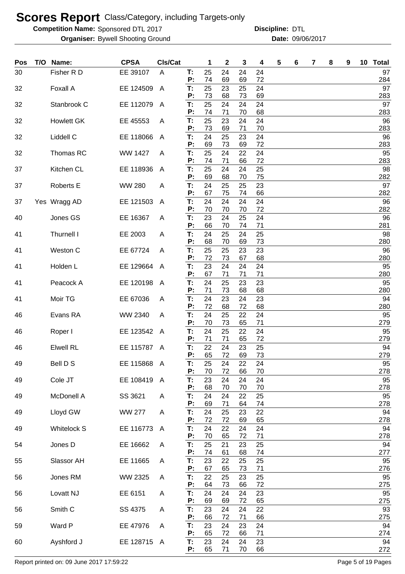**Competition Name:** Sponsored DTL 2017 **Discripline: DTL** 

Bywell Shooting Ground 09/06/2017 **Organiser: Date: Discipline:**

| Pos | T/O Name:          | <b>CPSA</b>    | CIs/Cat        |          | 1        | $\mathbf 2$ | 3        | 4        | 5 | 6 | 7 | 8 | 9 | 10 Total  |
|-----|--------------------|----------------|----------------|----------|----------|-------------|----------|----------|---|---|---|---|---|-----------|
| 30  | Fisher R D         | EE 39107       | A              | T:       | 25       | 24          | 24       | 24       |   |   |   |   |   | 97        |
|     |                    |                |                | P:       | 74       | 69          | 69       | 72       |   |   |   |   |   | 284       |
| 32  | Foxall A           | EE 124509      | A              | T:<br>P: | 25<br>73 | 23<br>68    | 25<br>73 | 24<br>69 |   |   |   |   |   | 97<br>283 |
| 32  | Stanbrook C        | EE 112079      | $\overline{A}$ | Т.       | 25       | 24          | 24       | 24       |   |   |   |   |   | 97        |
|     |                    |                |                | P:       | 74       | 71          | 70       | 68       |   |   |   |   |   | 283       |
| 32  | <b>Howlett GK</b>  | EE 45553       | A              | T:<br>P: | 25<br>73 | 23<br>69    | 24<br>71 | 24<br>70 |   |   |   |   |   | 96<br>283 |
| 32  | Liddell C          | EE 118066      | A              | T:       | 24       | 25          | 23       | 24       |   |   |   |   |   | 96        |
|     |                    |                |                | P:       | 69       | 73          | 69       | 72       |   |   |   |   |   | 283       |
| 32  | Thomas RC          | <b>WW 1427</b> | A              | T:       | 25       | 24          | 22       | 24       |   |   |   |   |   | 95        |
| 37  | Kitchen CL         | EE 118936      | A              | P:<br>T: | 74<br>25 | 71<br>24    | 66<br>24 | 72<br>25 |   |   |   |   |   | 283<br>98 |
|     |                    |                |                | P:       | 69       | 68          | 70       | 75       |   |   |   |   |   | 282       |
| 37  | Roberts E          | <b>WW 280</b>  | A              | T:       | 24       | 25          | 25       | 23       |   |   |   |   |   | 97        |
| 37  | Yes Wragg AD       | EE 121503      | A              | P:<br>T: | 67<br>24 | 75<br>24    | 74<br>24 | 66<br>24 |   |   |   |   |   | 282<br>96 |
|     |                    |                |                | Р:       | 70       | 70          | 70       | 72       |   |   |   |   |   | 282       |
| 40  | Jones GS           | EE 16367       | A              | T:       | 23       | 24          | 25       | 24       |   |   |   |   |   | 96        |
| 41  | Thurnell I         | EE 2003        | A              | P:<br>Т: | 66<br>24 | 70<br>25    | 74<br>24 | 71<br>25 |   |   |   |   |   | 281<br>98 |
|     |                    |                |                | P:       | 68       | 70          | 69       | 73       |   |   |   |   |   | 280       |
| 41  | Weston C           | EE 67724       | A              | T:       | 25       | 25          | 23       | 23       |   |   |   |   |   | 96        |
|     |                    |                |                | P:<br>T: | 72       | 73          | 67       | 68       |   |   |   |   |   | 280       |
| 41  | Holden L           | EE 129664      | A              | P:       | 23<br>67 | 24<br>71    | 24<br>71 | 24<br>71 |   |   |   |   |   | 95<br>280 |
| 41  | Peacock A          | EE 120198      | A              | T:       | 24       | 25          | 23       | 23       |   |   |   |   |   | 95        |
|     |                    |                |                | P:       | 71       | 73          | 68       | 68       |   |   |   |   |   | 280       |
| 41  | Moir TG            | EE 67036       | A              | T:<br>P: | 24<br>72 | 23<br>68    | 24<br>72 | 23<br>68 |   |   |   |   |   | 94<br>280 |
| 46  | Evans RA           | WW 2340        | A              | T:       | 24       | 25          | 22       | 24       |   |   |   |   |   | 95        |
|     |                    |                |                | P:       | 70       | 73          | 65       | 71       |   |   |   |   |   | 279       |
| 46  | Roper I            | EE 123542      | A              | T:<br>P: | 24<br>71 | 25<br>71    | 22<br>65 | 24<br>72 |   |   |   |   |   | 95<br>279 |
| 46  | <b>Elwell RL</b>   | EE 115787 A    |                | T:       | 22       | 24          | 23       | 25       |   |   |   |   |   | 94        |
|     |                    |                |                | P:       | 65       | 72          | 69       | 73       |   |   |   |   |   | 279       |
| 49  | Bell D S           | EE 115868 A    |                | Т:<br>P: | 25<br>70 | 24<br>72    | 22<br>66 | 24<br>70 |   |   |   |   |   | 95<br>278 |
| 49  | Cole JT            | EE 108419      | A              | T:       | 23       | 24          | 24       | 24       |   |   |   |   |   | 95        |
|     |                    |                |                | Ρ:       | 68       | 70          | 70       | 70       |   |   |   |   |   | 278       |
| 49  | McDonell A         | SS 3621        | A              | T:<br>P: | 24<br>69 | 24<br>71    | 22<br>64 | 25<br>74 |   |   |   |   |   | 95<br>278 |
| 49  | Lloyd GW           | <b>WW 277</b>  | A              | T:       | 24       | 25          | 23       | 22       |   |   |   |   |   | 94        |
| 49  | <b>Whitelock S</b> | EE 116773      |                | P:<br>T: | 72<br>24 | 72<br>22    | 69<br>24 | 65<br>24 |   |   |   |   |   | 278<br>94 |
|     |                    |                | $\mathsf{A}$   | P:       | 70       | 65          | 72       | 71       |   |   |   |   |   | 278       |
| 54  | Jones D            | EE 16662       | A              | T:       | 25       | 21          | 23       | 25       |   |   |   |   |   | 94        |
|     |                    |                |                | P:       | 74       | 61          | 68       | 74       |   |   |   |   |   | 277       |
| 55  | Slassor AH         | EE 11665       | A              | T:<br>P: | 23<br>67 | 22<br>65    | 25<br>73 | 25<br>71 |   |   |   |   |   | 95<br>276 |
| 56  | Jones RM           | WW 2325        | A              | T:       | 22       | 25          | 23       | 25       |   |   |   |   |   | 95        |
|     |                    |                |                | P:       | 64       | 73          | 66       | 72       |   |   |   |   |   | 275       |
| 56  | Lovatt NJ          | EE 6151        | A              | T:<br>P: | 24<br>69 | 24<br>69    | 24<br>72 | 23<br>65 |   |   |   |   |   | 95<br>275 |
| 56  | Smith C            | SS 4375        | A              | T:       | 23       | 24          | 24       | 22       |   |   |   |   |   | 93        |
|     |                    |                |                | P:       | 66       | 72          | 71       | 66       |   |   |   |   |   | 275       |
| 59  | Ward P             | EE 47976       | A              | Т.<br>P: | 23<br>65 | 24<br>72    | 23<br>66 | 24<br>71 |   |   |   |   |   | 94<br>274 |
| 60  | Ayshford J         | EE 128715      | A              | Т.       | 23       | 24          | 24       | 23       |   |   |   |   |   | 94        |
|     |                    |                |                | P:       | 65       | 71          | 70       | 66       |   |   |   |   |   | 272       |

Report printed on: 09 June 2017 17:59:22 Page 5 of 19 Pages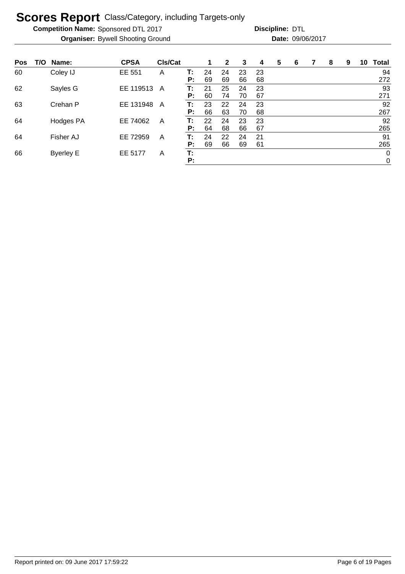**Competition Name:** Sponsored DTL 2017 **Discripline: DTL** 

| Pos | T/O Name:        | <b>CPSA</b> | CIs/Cat |    | 1  | $\mathbf{2}$ | 3  | 4  | 5 | 6 | 7 | 8 | 9 | 10 | <b>Total</b> |
|-----|------------------|-------------|---------|----|----|--------------|----|----|---|---|---|---|---|----|--------------|
| 60  | Coley IJ         | EE 551      | A       | Т: | 24 | 24           | 23 | 23 |   |   |   |   |   |    | 94           |
|     |                  |             |         | P: | 69 | 69           | 66 | 68 |   |   |   |   |   |    | 272          |
| 62  | Sayles G         | EE 119513   | A       | т: | 21 | 25           | 24 | 23 |   |   |   |   |   |    | 93           |
|     |                  |             |         | P: | 60 | 74           | 70 | 67 |   |   |   |   |   |    | 271          |
| 63  | Crehan P         | EE 131948   | A       | T: | 23 | 22           | 24 | 23 |   |   |   |   |   |    | 92           |
|     |                  |             |         | P: | 66 | 63           | 70 | 68 |   |   |   |   |   |    | 267          |
| 64  | Hodges PA        | EE 74062    | A       | т: | 22 | 24           | 23 | 23 |   |   |   |   |   |    | 92           |
|     |                  |             |         | P: | 64 | 68           | 66 | 67 |   |   |   |   |   |    | 265          |
| 64  | Fisher AJ        | EE 72959    | A       | т: | 24 | 22           | 24 | 21 |   |   |   |   |   |    | 91           |
|     |                  |             |         | P: | 69 | 66           | 69 | 61 |   |   |   |   |   |    | 265          |
| 66  | <b>Byerley E</b> | EE 5177     | Α       | Т: |    |              |    |    |   |   |   |   |   |    | $\mathbf 0$  |
|     |                  |             |         | Р: |    |              |    |    |   |   |   |   |   |    | 0            |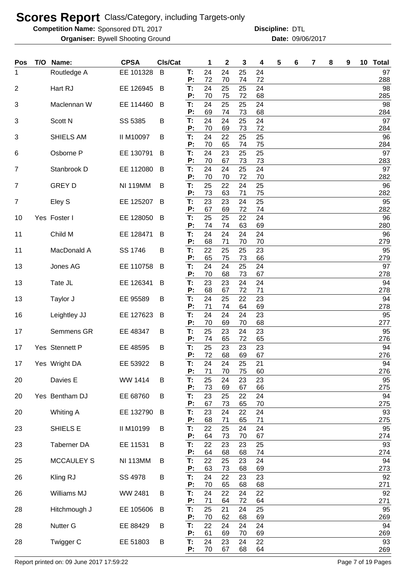**Competition Name:** Sponsored DTL 2017 **Discripline: DTL** 

Bywell Shooting Ground 09/06/2017 **Organiser: Date: Discipline:**

| <b>Pos</b>     | T/O Name:         | <b>CPSA</b>      | <b>CIs/Cat</b> |          | 1        | $\mathbf 2$ | 3        | 4        | 5 | 6 | 7 | 8 | 9 | 10 Total  |
|----------------|-------------------|------------------|----------------|----------|----------|-------------|----------|----------|---|---|---|---|---|-----------|
| $\mathbf{1}$   | Routledge A       | EE 101328        | B              | Т:<br>P: | 24<br>72 | 24<br>70    | 25<br>74 | 24<br>72 |   |   |   |   |   | 97<br>288 |
| $\overline{2}$ | Hart RJ           | EE 126945        | B              | T:       | 24       | 25          | 25       | 24       |   |   |   |   |   | 98        |
|                |                   |                  |                | P:       | 70       | 75          | 72       | 68       |   |   |   |   |   | 285       |
| 3              | Maclennan W       | EE 114460        | B              | T:<br>P: | 24<br>69 | 25<br>74    | 25<br>73 | 24<br>68 |   |   |   |   |   | 98<br>284 |
| 3              | Scott N           | SS 5385          | B              | T:<br>P: | 24<br>70 | 24          | 25<br>73 | 24<br>72 |   |   |   |   |   | 97<br>284 |
| 3              | SHIELS AM         | <b>II M10097</b> | B              | T:       | 24       | 69<br>22    | 25       | 25       |   |   |   |   |   | 96        |
|                |                   |                  |                | P:       | 70       | 65          | 74       | 75       |   |   |   |   |   | 284       |
| 6              | Osborne P         | EE 130791        | B              | T:<br>P: | 24<br>70 | 23<br>67    | 25<br>73 | 25<br>73 |   |   |   |   |   | 97<br>283 |
| $\overline{7}$ | Stanbrook D       | EE 112080        | B              | T:<br>P: | 24<br>70 | 24<br>70    | 25<br>72 | 24<br>70 |   |   |   |   |   | 97<br>282 |
| $\overline{7}$ | <b>GREY D</b>     | <b>NI 119MM</b>  | B              | T:       | 25       | 22          | 24       | 25       |   |   |   |   |   | 96        |
|                |                   |                  |                | P:       | 73<br>23 | 63<br>23    | 71<br>24 | 75<br>25 |   |   |   |   |   | 282<br>95 |
| $\overline{7}$ | Eley S            | EE 125207        | B              | T:<br>P: | 67       | 69          | 72       | 74       |   |   |   |   |   | 282       |
| 10             | Yes Foster I      | EE 128050        | B              | Т:<br>P: | 25<br>74 | 25<br>74    | 22<br>63 | 24<br>69 |   |   |   |   |   | 96<br>280 |
| 11             | Child M           | EE 128471        | B              | Т:       | 24       | 24          | 24       | 24       |   |   |   |   |   | 96        |
|                |                   |                  |                | P:       | 68       | 71          | 70       | 70       |   |   |   |   |   | 279       |
| 11             | MacDonald A       | SS 1746          | B              | T:<br>P: | 22<br>65 | 25<br>75    | 25<br>73 | 23<br>66 |   |   |   |   |   | 95<br>279 |
| 13             | Jones AG          | EE 110758        | B              | T:<br>P: | 24<br>70 | 24<br>68    | 25<br>73 | 24<br>67 |   |   |   |   |   | 97<br>278 |
| 13             | Tate JL           | EE 126341        | B              | T:       | 23       | 23          | 24       | 24       |   |   |   |   |   | 94        |
|                |                   |                  |                | P:       | 68       | 67          | 72       | 71       |   |   |   |   |   | 278       |
| 13             | Taylor J          | EE 95589         | B              | T:<br>P: | 24<br>71 | 25<br>74    | 22<br>64 | 23<br>69 |   |   |   |   |   | 94<br>278 |
| 16             | Leightley JJ      | EE 127623        | B              | T:       | 24<br>70 | 24<br>69    | 24       | 23       |   |   |   |   |   | 95        |
| 17             | Semmens GR        | EE 48347         | B              | P:<br>T: | 25       | 23          | 70<br>24 | 68<br>23 |   |   |   |   |   | 277<br>95 |
|                |                   |                  |                | P:       | 74       | 65          | 72       | 65       |   |   |   |   |   | 276       |
| 17             | Yes Stennett P    | EE 48595         | B              | T:<br>P: | 25<br>72 | 23<br>68    | 23<br>69 | 23<br>67 |   |   |   |   |   | 94<br>276 |
| 17             | Yes Wright DA     | EE 53922         | B              | T:       | 24<br>71 | 24<br>70    | 25<br>75 | 21<br>60 |   |   |   |   |   | 94<br>276 |
| 20             | Davies E          | WW 1414          | B              | P:<br>T: | 25       | 24          | 23       | 23       |   |   |   |   |   | 95        |
|                |                   |                  |                | Ρ.<br>T: | 73<br>23 | 69          | 67       | 66       |   |   |   |   |   | 275       |
| 20             | Yes Bentham DJ    | EE 68760         | В              | P:       | 67       | 25<br>73    | 22<br>65 | 24<br>70 |   |   |   |   |   | 94<br>275 |
| 20             | Whiting A         | EE 132790        | B              | T:<br>P: | 23<br>68 | 24<br>71    | 22<br>65 | 24<br>71 |   |   |   |   |   | 93<br>275 |
| 23             | SHIELS E          | II M10199        | В              | Τ.       | 22       | 25          | 24       | 24       |   |   |   |   |   | 95        |
|                | Taberner DA       |                  |                | P:<br>T: | 64<br>22 | 73<br>23    | 70<br>23 | 67<br>25 |   |   |   |   |   | 274<br>93 |
| 23             |                   | EE 11531         | В              | Ρ.       | 64       | 68          | 68       | 74       |   |   |   |   |   | 274       |
| 25             | <b>MCCAULEY S</b> | <b>NI 113MM</b>  | B              | T:<br>P: | 22<br>63 | 25<br>73    | 23<br>68 | 24<br>69 |   |   |   |   |   | 94<br>273 |
| 26             | Kling RJ          | SS 4978          | B              | T:       | 24       | 22          | 23       | 23       |   |   |   |   |   | 92        |
| 26             | Williams MJ       | WW 2481          | B              | P:<br>T: | 70<br>24 | 65<br>22    | 68<br>24 | 68<br>22 |   |   |   |   |   | 271<br>92 |
|                |                   |                  |                | P:       | 71       | 64          | 72       | 64       |   |   |   |   |   | 271       |
| 28             | Hitchmough J      | EE 105606        | B              | T:<br>P: | 25<br>70 | 21<br>62    | 24<br>68 | 25<br>69 |   |   |   |   |   | 95<br>269 |
| 28             | Nutter G          | EE 88429         | B              | T:       | 22       | 24          | 24       | 24       |   |   |   |   |   | 94        |
| 28             | Twigger C         | EE 51803         | B              | P:<br>T: | 61<br>24 | 69<br>23    | 70<br>24 | 69<br>22 |   |   |   |   |   | 269<br>93 |
|                |                   |                  |                | P:       | 70       | 67          | 68       | 64       |   |   |   |   |   | 269       |

Report printed on: 09 June 2017 17:59:22 Page 7 of 19 Pages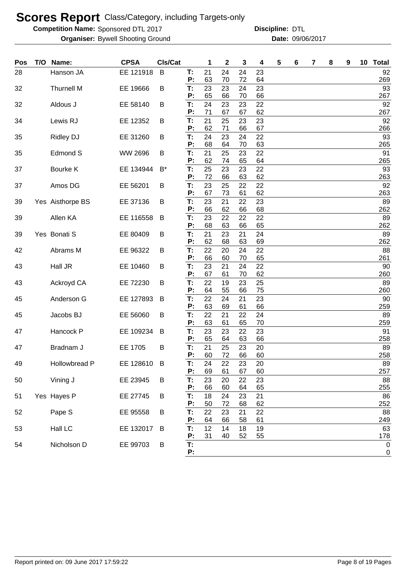**Competition Name:** Sponsored DTL 2017 **Discripline: DTL** 

Bywell Shooting Ground 09/06/2017 **Organiser: Date:**

| Pos | T/O | Name:             | <b>CPSA</b>    | CIs/Cat |          | 1        | 2        | 3        | 4        | 5 | 6 | 7 | 8 | 9 | 10 <sub>1</sub> | <b>Total</b> |
|-----|-----|-------------------|----------------|---------|----------|----------|----------|----------|----------|---|---|---|---|---|-----------------|--------------|
| 28  |     | Hanson JA         | EE 121918      | B       | т.       | 21       | 24       | 24       | 23       |   |   |   |   |   |                 | 92           |
|     |     |                   |                |         | P:       | 63       | 70       | 72       | 64       |   |   |   |   |   |                 | 269          |
| 32  |     | <b>Thurnell M</b> | EE 19666       | В       | T:       | 23       | 23       | 24       | 23       |   |   |   |   |   |                 | 93           |
|     |     |                   |                |         | P:       | 65       | 66       | 70       | 66       |   |   |   |   |   |                 | 267          |
| 32  |     | Aldous J          | EE 58140       | B       | T:       | 24       | 23       | 23       | 22       |   |   |   |   |   |                 | 92           |
|     |     |                   |                |         | P:       | 71       | 67       | 67       | 62       |   |   |   |   |   |                 | 267          |
| 34  |     | Lewis RJ          | EE 12352       | В       | T:<br>P: | 21<br>62 | 25<br>71 | 23<br>66 | 23<br>67 |   |   |   |   |   |                 | 92<br>266    |
| 35  |     | <b>Ridley DJ</b>  | EE 31260       | В       | T:       | 24       | 23       | 24       | 22       |   |   |   |   |   |                 | 93           |
|     |     |                   |                |         | P:       | 68       | 64       | 70       | 63       |   |   |   |   |   |                 | 265          |
| 35  |     | Edmond S          | <b>WW 2696</b> | B       | T:       | 21       | 25       | 23       | 22       |   |   |   |   |   |                 | 91           |
|     |     |                   |                |         | P:       | 62       | 74       | 65       | 64       |   |   |   |   |   |                 | 265          |
| 37  |     | Bourke K          | EE 134944      | $B^*$   | T.       | 25       | 23       | 23       | 22       |   |   |   |   |   |                 | 93           |
|     |     |                   |                |         | P:       | 72       | 66       | 63       | 62       |   |   |   |   |   |                 | 263          |
| 37  |     | Amos DG           | EE 56201       | В       | Т:       | 23       | 25       | 22       | 22       |   |   |   |   |   |                 | 92           |
|     |     |                   |                |         | P:       | 67       | 73       | 61       | 62       |   |   |   |   |   |                 | 263          |
| 39  |     | Yes Aisthorpe BS  | EE 37136       | B       | Т:<br>P: | 23<br>66 | 21<br>62 | 22<br>66 | 23<br>68 |   |   |   |   |   |                 | 89<br>262    |
| 39  |     | Allen KA          | EE 116558      | B       | Т:       | 23       | 22       | 22       | 22       |   |   |   |   |   |                 | 89           |
|     |     |                   |                |         | P:       | 68       | 63       | 66       | 65       |   |   |   |   |   |                 | 262          |
| 39  |     | Yes Bonati S      | EE 80409       | B       | Т:       | 21       | 23       | 21       | 24       |   |   |   |   |   |                 | 89           |
|     |     |                   |                |         | P:       | 62       | 68       | 63       | 69       |   |   |   |   |   |                 | 262          |
| 42  |     | Abrams M          | EE 96322       | B       | Т:       | 22       | 20       | 24       | 22       |   |   |   |   |   |                 | 88           |
|     |     |                   |                |         | P:       | 66       | 60       | 70       | 65       |   |   |   |   |   |                 | 261          |
| 43  |     | Hall JR           | EE 10460       | В       | Т:       | 23       | 21       | 24       | 22       |   |   |   |   |   |                 | 90           |
|     |     |                   |                |         | P:       | 67       | 61       | 70       | 62       |   |   |   |   |   |                 | 260          |
| 43  |     | Ackroyd CA        | EE 72230       | B       | Т:<br>P: | 22<br>64 | 19<br>55 | 23<br>66 | 25<br>75 |   |   |   |   |   |                 | 89<br>260    |
| 45  |     | Anderson G        | EE 127893      | B       | Т:       | 22       | 24       | 21       | 23       |   |   |   |   |   |                 | 90           |
|     |     |                   |                |         | P:       | 63       | 69       | 61       | 66       |   |   |   |   |   |                 | 259          |
| 45  |     | Jacobs BJ         | EE 56060       | B       | Т:       | 22       | 21       | 22       | 24       |   |   |   |   |   |                 | 89           |
|     |     |                   |                |         | P:       | 63       | 61       | 65       | 70       |   |   |   |   |   |                 | 259          |
| 47  |     | Hancock P         | EE 109234      | B       | T:       | 23       | 23       | 22       | 23       |   |   |   |   |   |                 | 91           |
|     |     |                   |                |         | P:       | 65       | 64       | 63       | 66       |   |   |   |   |   |                 | 258          |
| 47  |     | Bradnam J         | EE 1705        | B       | T:       | 21       | 25       | 23       | 20       |   |   |   |   |   |                 | 89           |
|     |     |                   |                |         | P:       | 60       | 72       | 66       | 60       |   |   |   |   |   |                 | 258          |
| 49  |     | Hollowbread P     | EE 128610      | В       | T:<br>P: | 24<br>69 | 22<br>61 | 23<br>67 | 20<br>60 |   |   |   |   |   |                 | 89<br>257    |
| 50  |     | Vining J          | EE 23945       | B       | T:       | 23       | 20       | 22       | 23       |   |   |   |   |   |                 | 88           |
|     |     |                   |                |         | P:       | 66       | 60       | 64       | 65       |   |   |   |   |   |                 | 255          |
| 51  |     | Yes Hayes P       | EE 27745       | B       | T:       | 18       | 24       | 23       | 21       |   |   |   |   |   |                 | 86           |
|     |     |                   |                |         | P:       | 50       | 72       | 68       | 62       |   |   |   |   |   |                 | 252          |
| 52  |     | Pape S            | EE 95558       | B       | T:       | 22       | 23       | 21       | 22       |   |   |   |   |   |                 | 88           |
|     |     |                   |                |         | P:       | 64       | 66       | 58       | 61       |   |   |   |   |   |                 | 249          |
| 53  |     | Hall LC           | EE 132017      | B       | T.       | 12       | 14       | 18       | 19       |   |   |   |   |   |                 | 63           |
|     |     |                   |                |         | P:       | 31       | 40       | 52       | 55       |   |   |   |   |   |                 | <u>178</u>   |
| 54  |     | Nicholson D       | EE 99703       | B       | T:<br>P: |          |          |          |          |   |   |   |   |   |                 | $\pmb{0}$    |
|     |     |                   |                |         |          |          |          |          |          |   |   |   |   |   |                 | 0            |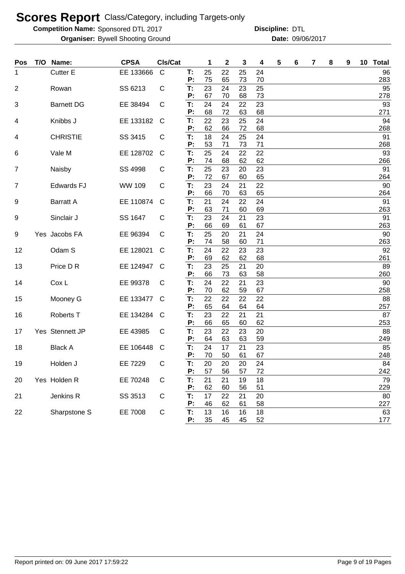**Competition Name:** Sponsored DTL 2017 **Discripline: DTL** 

| Pos | T/O | Name:                | <b>CPSA</b> | CIs/Cat      |          | 1        | 2        | 3        | 4        | 5 | 6 | 7 | 8 | 9 | 10 Total  |
|-----|-----|----------------------|-------------|--------------|----------|----------|----------|----------|----------|---|---|---|---|---|-----------|
| 1   |     | Cutter E             | EE 133666   | $\mathsf{C}$ | T:       | 25       | 22       | 25       | 24       |   |   |   |   |   | 96        |
|     |     |                      |             |              | Ρ.       | 75       | 65       | 73       | 70       |   |   |   |   |   | 283       |
| 2   |     | Rowan                | SS 6213     | C            | T:       | 23       | 24       | 23       | 25       |   |   |   |   |   | 95        |
|     |     |                      |             |              | P:<br>T: | 67<br>24 | 70<br>24 | 68<br>22 | 73       |   |   |   |   |   | 278<br>93 |
| 3   |     | <b>Barnett DG</b>    | EE 38494    | C            | P:       | 68       | 72       | 63       | 23<br>68 |   |   |   |   |   | 271       |
| 4   |     | Knibbs J             | EE 133182   | C            | T:       | 22       | 23       | 25       | 24       |   |   |   |   |   | 94        |
|     |     |                      |             |              | P:       | 62       | 66       | 72       | 68       |   |   |   |   |   | 268       |
| 4   |     | <b>CHRISTIE</b>      | SS 3415     | С            | Т:       | 18       | 24       | 25       | 24       |   |   |   |   |   | 91        |
|     |     |                      |             |              | Р:       | 53       | 71       | 73       | 71       |   |   |   |   |   | 268       |
| 6   |     | Vale M               | EE 128702   | C            | Т:<br>P: | 25<br>74 | 24<br>68 | 22<br>62 | 22<br>62 |   |   |   |   |   | 93<br>266 |
| 7   |     | Naisby               | SS 4998     | C            | Т:       | 25       | 23       | 20       | 23       |   |   |   |   |   | 91        |
|     |     |                      |             |              | Р:       | 72       | 67       | 60       | 65       |   |   |   |   |   | 264       |
| 7   |     | <b>Edwards FJ</b>    | WW 109      | C            | T:       | 23       | 24       | 21       | 22       |   |   |   |   |   | 90        |
|     |     |                      |             |              | Р:       | 66       | 70       | 63       | 65       |   |   |   |   |   | 264       |
| 9   |     | <b>Barratt A</b>     | EE 110874   | C            | Т:<br>Р: | 21<br>63 | 24<br>71 | 22<br>60 | 24<br>69 |   |   |   |   |   | 91<br>263 |
| 9   |     | Sinclair J           | SS 1647     | C            | T:       | 23       | 24       | 21       | 23       |   |   |   |   |   | 91        |
|     |     |                      |             |              | Р:       | 66       | 69       | 61       | 67       |   |   |   |   |   | 263       |
| 9   |     | Yes Jacobs FA        | EE 96394    | С            | Т:       | 25       | 20       | 21       | 24       |   |   |   |   |   | 90        |
|     |     |                      |             |              | P:       | 74       | 58       | 60       | 71       |   |   |   |   |   | 263       |
| 12  |     | Odam S               | EE 128021   | С            | T:       | 24       | 22       | 23       | 23       |   |   |   |   |   | 92        |
|     |     | Price D R            |             | C            | Ρ.<br>Т: | 69<br>23 | 62       | 62       | 68       |   |   |   |   |   | 261<br>89 |
| 13  |     |                      | EE 124947   |              | Ρ.       | 66       | 25<br>73 | 21<br>63 | 20<br>58 |   |   |   |   |   | 260       |
| 14  |     | Cox L                | EE 99378    | C            | T:       | 24       | 22       | 21       | 23       |   |   |   |   |   | 90        |
|     |     |                      |             |              | Ρ.       | 70       | 62       | 59       | 67       |   |   |   |   |   | 258       |
| 15  |     | Mooney G             | EE 133477   | C            | T:       | 22       | 22       | 22       | 22       |   |   |   |   |   | 88        |
|     |     |                      |             |              | P:       | 65       | 64       | 64       | 64       |   |   |   |   |   | 257       |
| 16  |     | Roberts <sub>T</sub> | EE 134284   | C            | Т:<br>P: | 23<br>66 | 22<br>65 | 21<br>60 | 21<br>62 |   |   |   |   |   | 87<br>253 |
| 17  |     | Yes Stennett JP      | EE 43985    | C            | Т:       | 23       | 22       | 23       | 20       |   |   |   |   |   | 88        |
|     |     |                      |             |              | P:       | 64       | 63       | 63       | 59       |   |   |   |   |   | 249       |
| 18  |     | <b>Black A</b>       | EE 106448   | C            | Т:       | 24       | 17       | 21       | 23       |   |   |   |   |   | 85        |
|     |     |                      |             |              | P:       | 70       | 50       | 61       | 67       |   |   |   |   |   | 248       |
| 19  |     | Holden J             | EE 7229     | C            | Т:<br>P: | 20<br>57 | 20<br>56 | 20<br>57 | 24<br>72 |   |   |   |   |   | 84<br>242 |
| 20  |     | Yes Holden R         | EE 70248    | C            | T:       | 21       | 21       | 19       | 18       |   |   |   |   |   | 79        |
|     |     |                      |             |              | Ρ:       | 62       | 60       | 56       | 51       |   |   |   |   |   | 229       |
| 21  |     | Jenkins R            | SS 3513     | C            | T:       | 17       | 22       | 21       | 20       |   |   |   |   |   | 80        |
|     |     |                      |             |              | Ρ:       | 46       | 62       | 61       | 58       |   |   |   |   |   | 227       |
| 22  |     | Sharpstone S         | EE 7008     | С            | T:       | 13       | 16       | 16       | 18       |   |   |   |   |   | 63        |
|     |     |                      |             |              | P:       | 35       | 45       | 45       | 52       |   |   |   |   |   | 177       |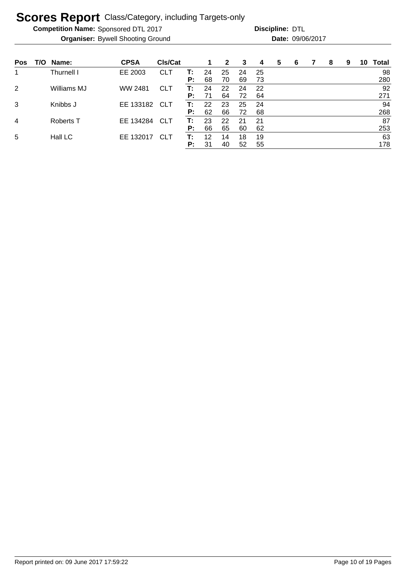**Competition Name:** Sponsored DTL 2017 **Discripline: DTL** 

| <b>Pos</b>     | T/O | Name:            | <b>CPSA</b> | CIs/Cat    |    | 1  | $\mathbf{2}$ | 3  | 4   | 5 | 6 | 8 | 9 | 10 | <b>Total</b> |
|----------------|-----|------------------|-------------|------------|----|----|--------------|----|-----|---|---|---|---|----|--------------|
|                |     | Thurnell I       | EE 2003     | <b>CLT</b> | т: | 24 | 25           | 24 | -25 |   |   |   |   |    | 98           |
|                |     |                  |             |            | P: | 68 | 70           | 69 | 73  |   |   |   |   |    | 280          |
| $\overline{2}$ |     | Williams MJ      | WW 2481     | <b>CLT</b> | T: | 24 | 22           | 24 | 22  |   |   |   |   |    | 92           |
|                |     |                  |             |            | P: | 71 | 64           | 72 | 64  |   |   |   |   |    | 271          |
| 3              |     | Knibbs J         | EE 133182   | <b>CLT</b> | T: | 22 | 23           | 25 | 24  |   |   |   |   |    | 94           |
|                |     |                  |             |            | P: | 62 | 66           | 72 | 68  |   |   |   |   |    | 268          |
| 4              |     | <b>Roberts T</b> | EE 134284   | <b>CLT</b> | T: | 23 | 22           | 21 | 21  |   |   |   |   |    | 87           |
|                |     |                  |             |            | P: | 66 | 65           | 60 | 62  |   |   |   |   |    | 253          |
| 5              |     | Hall LC          | EE 132017   | <b>CLT</b> | т: | 12 | 14           | 18 | 19  |   |   |   |   |    | 63           |
|                |     |                  |             |            | P: | 31 | 40           | 52 | 55  |   |   |   |   |    | 178          |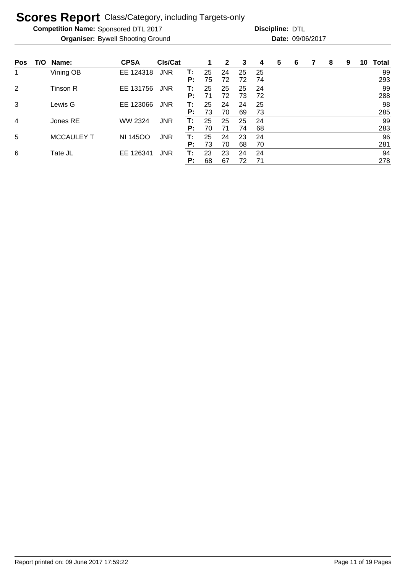**Competition Name:** Sponsored DTL 2017 **Discripline: DTL** 

| <b>Pos</b> | T/O | Name:             | <b>CPSA</b>     | CIs/Cat    |    | 1  | 2  | 3  | 4  | 5 | 6 | 8 | 9 | 10 | <b>Total</b> |
|------------|-----|-------------------|-----------------|------------|----|----|----|----|----|---|---|---|---|----|--------------|
|            |     | Vining OB         | EE 124318       | <b>JNR</b> | т: | 25 | 24 | 25 | 25 |   |   |   |   |    | 99           |
|            |     |                   |                 |            | P: | 75 | 72 | 72 | 74 |   |   |   |   |    | 293          |
| 2          |     | Tinson R          | EE 131756       | <b>JNR</b> | Т: | 25 | 25 | 25 | 24 |   |   |   |   |    | 99           |
|            |     |                   |                 |            | P: | 71 | 72 | 73 | 72 |   |   |   |   |    | 288          |
| 3          |     | Lewis G           | EE 123066       | <b>JNR</b> | т: | 25 | 24 | 24 | 25 |   |   |   |   |    | 98           |
|            |     |                   |                 |            | P: | 73 | 70 | 69 | 73 |   |   |   |   |    | 285          |
| 4          |     | Jones RE          | WW 2324         | <b>JNR</b> | т: | 25 | 25 | 25 | 24 |   |   |   |   |    | 99           |
|            |     |                   |                 |            | P: | 70 | 71 | 74 | 68 |   |   |   |   |    | 283          |
| 5          |     | <b>MCCAULEY T</b> | <b>NI 14500</b> | <b>JNR</b> | т: | 25 | 24 | 23 | 24 |   |   |   |   |    | 96           |
|            |     |                   |                 |            | P: | 73 | 70 | 68 | 70 |   |   |   |   |    | 281          |
| 6          |     | Tate JL           | EE 126341       | <b>JNR</b> | т: | 23 | 23 | 24 | 24 |   |   |   |   |    | 94           |
|            |     |                   |                 |            | P: | 68 | 67 | 72 | 71 |   |   |   |   |    | 278          |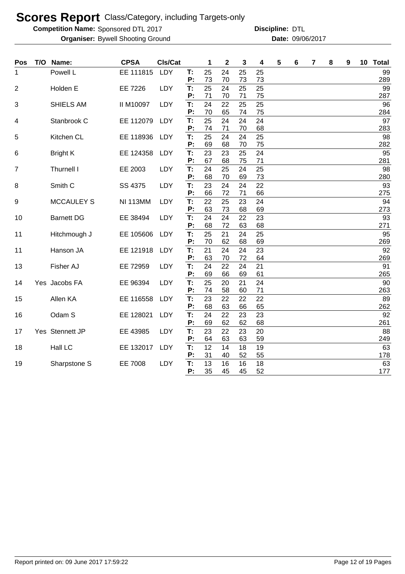**Competition Name:** Sponsored DTL 2017 **Discripline: DTL** 

Bywell Shooting Ground 09/06/2017 **Organiser: Date:**

| Powell L<br>EE 111815<br>LDY<br>T:<br>24<br>25<br>25<br>25<br>1<br>P:<br>73<br>73<br>70<br>73<br>T:<br>25<br>25<br>25<br>$\overline{2}$<br>Holden E<br>EE 7226<br>LDY<br>24<br>P:<br>71<br>75<br>70<br>71<br>T:<br>22<br>SHIELS AM<br><b>II M10097</b><br>LDY<br>24<br>25<br>25<br>3<br>70<br>65<br>75<br>P:<br>74<br>25<br>24<br>24<br>Stanbrook C<br>EE 112079<br>T:<br>24<br>LDY<br>4<br>71<br>74<br>70<br>68<br>P:<br>T:<br>25<br>25<br>24<br>24<br>5<br>Kitchen CL<br>EE 118936<br>LDY<br>P:<br>69<br>68<br>75<br>70<br>T:<br>23<br>23<br>25<br>24<br>EE 124358<br>LDY<br>6<br><b>Bright K</b><br>67<br>68<br>75<br>71<br>P: | 10 <sub>1</sub><br><b>Total</b> |
|-----------------------------------------------------------------------------------------------------------------------------------------------------------------------------------------------------------------------------------------------------------------------------------------------------------------------------------------------------------------------------------------------------------------------------------------------------------------------------------------------------------------------------------------------------------------------------------------------------------------------------------|---------------------------------|
|                                                                                                                                                                                                                                                                                                                                                                                                                                                                                                                                                                                                                                   | 99<br>289                       |
|                                                                                                                                                                                                                                                                                                                                                                                                                                                                                                                                                                                                                                   | 99                              |
|                                                                                                                                                                                                                                                                                                                                                                                                                                                                                                                                                                                                                                   | 287<br>96                       |
|                                                                                                                                                                                                                                                                                                                                                                                                                                                                                                                                                                                                                                   | 284                             |
|                                                                                                                                                                                                                                                                                                                                                                                                                                                                                                                                                                                                                                   | 97<br>283                       |
|                                                                                                                                                                                                                                                                                                                                                                                                                                                                                                                                                                                                                                   | 98                              |
|                                                                                                                                                                                                                                                                                                                                                                                                                                                                                                                                                                                                                                   | 282<br>95                       |
|                                                                                                                                                                                                                                                                                                                                                                                                                                                                                                                                                                                                                                   | 281                             |
| Thurnell I<br>EE 2003<br>LDY<br>T:<br>24<br>25<br>25<br>$\overline{7}$<br>24<br>68<br>73<br>P:<br>70<br>69                                                                                                                                                                                                                                                                                                                                                                                                                                                                                                                        | 98<br>280                       |
| T:<br>LDY<br>23<br>Smith <sub>C</sub><br>SS 4375<br>24<br>24<br>22<br>8                                                                                                                                                                                                                                                                                                                                                                                                                                                                                                                                                           | 93                              |
| P:<br>66<br>72<br>66<br>71                                                                                                                                                                                                                                                                                                                                                                                                                                                                                                                                                                                                        | 275                             |
| 22<br>25<br>24<br><b>MCCAULEY S</b><br><b>NI 113MM</b><br>T:<br>23<br>9<br>LDY<br>P:<br>63<br>73<br>69<br>68                                                                                                                                                                                                                                                                                                                                                                                                                                                                                                                      | 94<br>273                       |
| 24<br>24<br>23<br><b>Barnett DG</b><br>EE 38494<br>LDY<br>T:<br>22<br>10                                                                                                                                                                                                                                                                                                                                                                                                                                                                                                                                                          | 93                              |
| P:<br>68<br>72<br>63<br>68                                                                                                                                                                                                                                                                                                                                                                                                                                                                                                                                                                                                        | 271                             |
| T:<br>25<br>21<br>25<br>Hitchmough J<br>EE 105606<br>LDY<br>24<br>11                                                                                                                                                                                                                                                                                                                                                                                                                                                                                                                                                              | 95                              |
| 70<br>62<br>68<br>P:<br>69<br>T:<br>21<br>Hanson JA<br>EE 121918<br>LDY<br>24<br>24<br>23<br>11                                                                                                                                                                                                                                                                                                                                                                                                                                                                                                                                   | 269<br>92                       |
| 63<br>P:<br>70<br>72<br>64                                                                                                                                                                                                                                                                                                                                                                                                                                                                                                                                                                                                        | 269                             |
| T:<br>24<br>Fisher AJ<br>EE 72959<br>LDY<br>22<br>21<br>13<br>24                                                                                                                                                                                                                                                                                                                                                                                                                                                                                                                                                                  | 91                              |
| P:<br>69<br>61<br>66<br>69                                                                                                                                                                                                                                                                                                                                                                                                                                                                                                                                                                                                        | 265                             |
| 25<br>20<br>24<br>T:<br>21<br>Yes Jacobs FA<br>EE 96394<br>LDY<br>14<br>74<br>58<br>71<br>P:<br>60                                                                                                                                                                                                                                                                                                                                                                                                                                                                                                                                | 90<br>263                       |
| 22<br>T:<br>23<br>22<br>22<br>Allen KA<br>15<br>EE 116558<br>LDY                                                                                                                                                                                                                                                                                                                                                                                                                                                                                                                                                                  | 89                              |
| P:<br>68<br>63<br>66<br>65                                                                                                                                                                                                                                                                                                                                                                                                                                                                                                                                                                                                        | 262                             |
| T:<br>24<br>22<br>23<br>23<br>Odam S<br>EE 128021<br>LDY<br>16<br>69<br>62<br>62<br>P:<br>68                                                                                                                                                                                                                                                                                                                                                                                                                                                                                                                                      | 92<br>261                       |
| Yes Stennett JP<br>T:<br>23<br>22<br>EE 43985<br>LDY<br>23<br>20<br>17                                                                                                                                                                                                                                                                                                                                                                                                                                                                                                                                                            | 88                              |
| 63<br>P:<br>64<br>63<br>59                                                                                                                                                                                                                                                                                                                                                                                                                                                                                                                                                                                                        | 249                             |
| Hall LC<br>T:<br>12<br>19<br>EE 132017<br>LDY<br>14<br>18<br>18                                                                                                                                                                                                                                                                                                                                                                                                                                                                                                                                                                   | 63                              |
| P:<br>55<br>31<br>40<br>52                                                                                                                                                                                                                                                                                                                                                                                                                                                                                                                                                                                                        | 178                             |
| 13<br>16<br>18<br>T:<br>16<br>Sharpstone S<br>EE 7008<br>LDY<br>19<br>P:<br>35<br>52<br>45<br>45                                                                                                                                                                                                                                                                                                                                                                                                                                                                                                                                  | 63<br>177                       |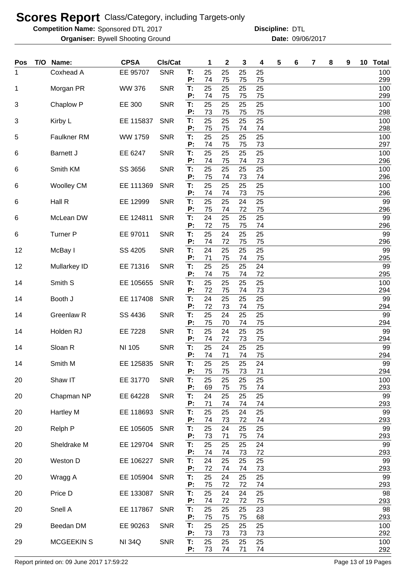**Competition Name:** Sponsored DTL 2017 **Discripline: DTL** 

Bywell Shooting Ground 09/06/2017 **Organiser: Date:**

| Pos | T/O | Name:             | <b>CPSA</b>   | CIs/Cat    |                | 1              | $\mathbf 2$    | 3              | 4              | 5 | 6 | 7 | 8 | 9 | 10 | <b>Total</b>      |
|-----|-----|-------------------|---------------|------------|----------------|----------------|----------------|----------------|----------------|---|---|---|---|---|----|-------------------|
| 1   |     | Coxhead A         | EE 95707      | <b>SNR</b> | T:<br>P:       | 25<br>74       | 25<br>75       | 25<br>75       | 25<br>75       |   |   |   |   |   |    | 100<br>299        |
| 1   |     | Morgan PR         | <b>WW 376</b> | <b>SNR</b> | T:<br>P:       | 25<br>74       | 25<br>75       | 25<br>75       | 25<br>75       |   |   |   |   |   |    | 100<br>299        |
| 3   |     | Chaplow P         | EE 300        | <b>SNR</b> | T:<br>P:       | 25<br>73       | 25<br>75       | 25<br>75       | 25<br>75       |   |   |   |   |   |    | 100<br>298        |
| 3   |     | Kirby L           | EE 115837     | <b>SNR</b> | T:<br>P:       | 25<br>75       | 25<br>75       | 25<br>74       | 25<br>74       |   |   |   |   |   |    | 100<br>298        |
| 5   |     | Faulkner RM       | WW 1759       | <b>SNR</b> | T:<br>P:       | 25<br>74       | 25<br>75       | 25<br>75       | 25<br>73       |   |   |   |   |   |    | 100<br>297        |
| 6   |     | <b>Barnett J</b>  | EE 6247       | <b>SNR</b> | T:<br>P:       | 25<br>74       | 25<br>75       | 25<br>74       | 25<br>73       |   |   |   |   |   |    | 100<br>296        |
| 6   |     | Smith KM          | SS 3656       | <b>SNR</b> | T:<br>Р:       | 25<br>75       | 25<br>74       | 25<br>73       | 25<br>74       |   |   |   |   |   |    | 100<br>296        |
| 6   |     | <b>Woolley CM</b> | EE 111369     | <b>SNR</b> | T:<br>P:       | 25<br>74       | 25<br>74       | 25<br>73       | 25<br>75       |   |   |   |   |   |    | 100<br>296        |
| 6   |     | Hall R            | EE 12999      | <b>SNR</b> | T:<br>P:       | 25<br>75       | 25<br>74       | 24<br>72       | 25<br>75       |   |   |   |   |   |    | 99<br>296         |
| 6   |     | McLean DW         | EE 124811     | <b>SNR</b> | T:             | 24             | 25             | 25             | 25             |   |   |   |   |   |    | 99                |
| 6   |     | <b>Turner P</b>   | EE 97011      | <b>SNR</b> | Ρ.<br>T:       | 72<br>25       | 75<br>24       | 75<br>25       | 74<br>25       |   |   |   |   |   |    | 296<br>99         |
| 12  |     | McBay I           | SS 4205       | <b>SNR</b> | P:<br>T.       | 74<br>24       | 72<br>25       | 75<br>25       | 75<br>25       |   |   |   |   |   |    | 296<br>99         |
| 12  |     | Mullarkey ID      | EE 71316      | <b>SNR</b> | P:<br>T:       | 71<br>25       | 75<br>25       | 74<br>25       | 75<br>24       |   |   |   |   |   |    | 295<br>99         |
| 14  |     | Smith S           | EE 105655     | <b>SNR</b> | P:<br>T:       | 74<br>25       | 75<br>25       | 74<br>25       | 72<br>25       |   |   |   |   |   |    | 295<br>100        |
| 14  |     | Booth J           | EE 117408     | <b>SNR</b> | P:<br>T:       | 72<br>24       | 75<br>25       | 74<br>25       | 73<br>25       |   |   |   |   |   |    | 294<br>99         |
| 14  |     | Greenlaw R        | SS 4436       | <b>SNR</b> | P:<br>T.       | 72<br>25       | 73<br>24       | 74<br>25       | 75<br>25       |   |   |   |   |   |    | 294<br>99         |
| 14  |     | Holden RJ         | EE 7228       | <b>SNR</b> | P:<br>T.       | 75<br>25       | 70<br>24       | 74<br>25       | 75<br>25       |   |   |   |   |   |    | 294<br>99         |
| 14  |     | Sloan R           | NI 105        | <b>SNR</b> | P:<br>T:<br>Ρ: | 74<br>25       | 72<br>24       | 73<br>25       | 75<br>25       |   |   |   |   |   |    | 294<br>99         |
| 14  |     | Smith M           | EE 125835     | <b>SNR</b> | T:             | 74<br>25       | 71<br>25       | 74<br>25       | 75<br>24       |   |   |   |   |   |    | 294<br>99         |
| 20  |     | Shaw IT           | EE 31770      | <b>SNR</b> | P:<br>T:<br>P: | 75<br>25<br>69 | 75<br>25<br>75 | 73<br>25<br>75 | 71<br>25<br>74 |   |   |   |   |   |    | 294<br>100<br>293 |
| 20  |     | Chapman NP        | EE 64228      | <b>SNR</b> | Т:<br>P:       | 24<br>71       | 25<br>74       | 25<br>74       | 25<br>74       |   |   |   |   |   |    | 99<br>293         |
| 20  |     | Hartley M         | EE 118693     | <b>SNR</b> | Т:<br>P:       | 25<br>74       | 25<br>73       | 24<br>72       | 25<br>74       |   |   |   |   |   |    | 99<br>293         |
| 20  |     | Relph P           | EE 105605     | <b>SNR</b> | T:<br>P:       | 25<br>73       | 24<br>71       | 25<br>75       | 25<br>74       |   |   |   |   |   |    | 99<br>293         |
| 20  |     | Sheldrake M       | EE 129704     | <b>SNR</b> | Т:<br>P:       | 25<br>74       | 25<br>74       | 25<br>73       | 24<br>72       |   |   |   |   |   |    | 99<br>293         |
| 20  |     | Weston D          | EE 106227     | <b>SNR</b> | T:             | 24<br>72       | 25<br>74       | 25<br>74       | 25             |   |   |   |   |   |    | 99                |
| 20  |     | Wragg A           | EE 105904     | <b>SNR</b> | P:<br>T:<br>P: | 25             | 24<br>72       | 25<br>72       | 73<br>25       |   |   |   |   |   |    | 293<br>99         |
| 20  |     | Price D           | EE 133087     | <b>SNR</b> | T:             | 75<br>25       | 24             | 24             | 74<br>25       |   |   |   |   |   |    | 293<br>98         |
| 20  |     | Snell A           | EE 117867     | <b>SNR</b> | P:<br>T:       | 74<br>25       | 72<br>25       | 72<br>25       | 75<br>23       |   |   |   |   |   |    | 293<br>98         |
| 29  |     | Beedan DM         | EE 90263      | <b>SNR</b> | P:<br>T.<br>P: | 75<br>25       | 75<br>25       | 75<br>25       | 68<br>25       |   |   |   |   |   |    | 293<br>100<br>292 |
| 29  |     | <b>MCGEEKIN S</b> | <b>NI 34Q</b> | <b>SNR</b> | T:<br>P:       | 73<br>25<br>73 | 73<br>25<br>74 | 73<br>25<br>71 | 73<br>25<br>74 |   |   |   |   |   |    | 100<br>292        |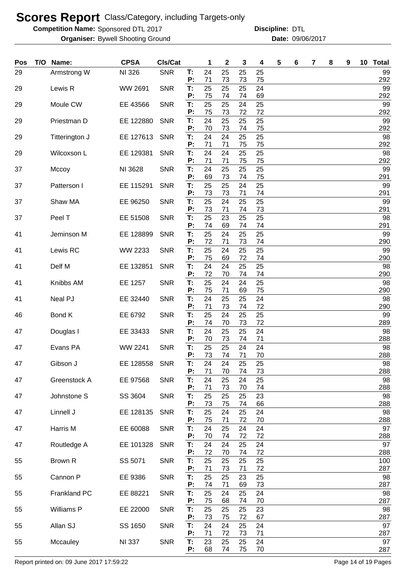**Competition Name:** Sponsored DTL 2017 **Discripline: DTL** 

Bywell Shooting Ground 09/06/2017 **Organiser: Date:**

| Pos | T/O Name:      | <b>CPSA</b>   | Cls/Cat    |          | 1        | $\mathbf{2}$ | 3        | 4        | 5 | 6 | 7 | 8 | 9 | 10 | <b>Total</b> |
|-----|----------------|---------------|------------|----------|----------|--------------|----------|----------|---|---|---|---|---|----|--------------|
| 29  | Armstrong W    | NI 326        | <b>SNR</b> | Т:<br>P: | 24<br>71 | 25<br>73     | 25<br>73 | 25<br>75 |   |   |   |   |   |    | 99<br>292    |
| 29  | Lewis R        | WW 2691       | <b>SNR</b> | T:<br>P: | 25<br>75 | 25<br>74     | 25<br>74 | 24<br>69 |   |   |   |   |   |    | 99<br>292    |
| 29  | Moule CW       | EE 43566      | <b>SNR</b> | T.       | 25       | 25           | 24       | 25       |   |   |   |   |   |    | 99           |
| 29  | Priestman D    | EE 122880     | <b>SNR</b> | P:<br>T: | 75<br>24 | 73<br>25     | 72<br>25 | 72<br>25 |   |   |   |   |   |    | 292<br>99    |
| 29  | Titterington J | EE 127613     | <b>SNR</b> | P:<br>Т: | 70<br>24 | 73<br>24     | 74<br>25 | 75<br>25 |   |   |   |   |   |    | 292<br>98    |
|     |                |               |            | P:       | 71       | 71           | 75       | 75       |   |   |   |   |   |    | 292          |
| 29  | Wilcoxson L    | EE 129381     | <b>SNR</b> | T:<br>P: | 24<br>71 | 24<br>71     | 25<br>75 | 25<br>75 |   |   |   |   |   |    | 98<br>292    |
| 37  | Mccoy          | NI 3628       | <b>SNR</b> | T:<br>P: | 24<br>69 | 25<br>73     | 25<br>74 | 25<br>75 |   |   |   |   |   |    | 99<br>291    |
| 37  | Patterson I    | EE 115291     | <b>SNR</b> | T:<br>P: | 25<br>73 | 25<br>73     | 24<br>71 | 25<br>74 |   |   |   |   |   |    | 99<br>291    |
| 37  | Shaw MA        | EE 96250      | <b>SNR</b> | T:       | 25       | 24           | 25       | 25       |   |   |   |   |   |    | 99           |
| 37  | Peel T         | EE 51508      | <b>SNR</b> | P:<br>T: | 73<br>25 | 71<br>23     | 74<br>25 | 73<br>25 |   |   |   |   |   |    | 291<br>98    |
| 41  | Jeminson M     | EE 128899     | <b>SNR</b> | P:<br>T: | 74<br>25 | 69<br>24     | 74<br>25 | 74<br>25 |   |   |   |   |   |    | 291<br>99    |
|     |                |               |            | P:       | 72       | 71           | 73       | 74       |   |   |   |   |   |    | 290          |
| 41  | Lewis RC       | WW 2233       | <b>SNR</b> | T:<br>P: | 25<br>75 | 24<br>69     | 25<br>72 | 25<br>74 |   |   |   |   |   |    | 99<br>290    |
| 41  | Delf M         | EE 132851     | <b>SNR</b> | T:<br>P: | 24<br>72 | 24<br>70     | 25<br>74 | 25<br>74 |   |   |   |   |   |    | 98<br>290    |
| 41  | Knibbs AM      | EE 1257       | <b>SNR</b> | T:<br>P: | 25<br>75 | 24<br>71     | 24<br>69 | 25<br>75 |   |   |   |   |   |    | 98<br>290    |
| 41  | Neal PJ        | EE 32440      | <b>SNR</b> | T:       | 24       | 25           | 25       | 24       |   |   |   |   |   |    | 98           |
| 46  | Bond K         | EE 6792       | <b>SNR</b> | P:<br>T: | 71<br>25 | 73<br>24     | 74<br>25 | 72<br>25 |   |   |   |   |   |    | 290<br>99    |
| 47  | Douglas I      | EE 33433      | <b>SNR</b> | P:<br>T: | 74<br>24 | 70<br>25     | 73<br>25 | 72<br>24 |   |   |   |   |   |    | 289<br>98    |
|     |                |               |            | P:       | 70       | 73           | 74       | 71       |   |   |   |   |   |    | 288          |
| 47  | Evans PA       | WW 2241       | <b>SNR</b> | T:<br>P: | 25<br>73 | 25<br>74     | 24<br>71 | 24<br>70 |   |   |   |   |   |    | 98<br>288    |
| 47  | Gibson J       | EE 128558     | <b>SNR</b> | Т.<br>P: | 24<br>71 | 24<br>70     | 25<br>74 | 25<br>73 |   |   |   |   |   |    | 98<br>288    |
| 47  | Greenstock A   | EE 97568      | <b>SNR</b> | T:<br>P: | 24<br>71 | 25<br>73     | 24<br>70 | 25<br>74 |   |   |   |   |   |    | 98<br>288    |
| 47  | Johnstone S    | SS 3604       | <b>SNR</b> | T:       | 25       | 25           | 25       | 23       |   |   |   |   |   |    | 98           |
| 47  | Linnell J      | EE 128135     | <b>SNR</b> | P:<br>T: | 73<br>25 | 75<br>24     | 74<br>25 | 66<br>24 |   |   |   |   |   |    | 288<br>98    |
| 47  | Harris M       | EE 60088      | <b>SNR</b> | P:<br>T: | 75<br>24 | 71<br>25     | 72<br>24 | 70<br>24 |   |   |   |   |   |    | 288<br>97    |
|     |                |               |            | P:       | 70       | 74           | 72       | 72       |   |   |   |   |   |    | 288          |
| 47  | Routledge A    | EE 101328     | <b>SNR</b> | T:<br>P: | 24<br>72 | 24<br>70     | 25<br>74 | 24<br>72 |   |   |   |   |   |    | 97<br>288    |
| 55  | Brown R        | SS 5071       | <b>SNR</b> | T:<br>P: | 25<br>71 | 25<br>73     | 25<br>71 | 25<br>72 |   |   |   |   |   |    | 100<br>287   |
| 55  | Cannon P       | EE 9386       | <b>SNR</b> | T:<br>P: | 25<br>74 | 25<br>71     | 23       | 25       |   |   |   |   |   |    | 98           |
| 55  | Frankland PC   | EE 88221      | <b>SNR</b> | T:       | 25       | 24           | 69<br>25 | 73<br>24 |   |   |   |   |   |    | 287<br>98    |
| 55  | Williams P     | EE 22000      | <b>SNR</b> | P:<br>T: | 75<br>25 | 68<br>25     | 74<br>25 | 70<br>23 |   |   |   |   |   |    | 287<br>98    |
| 55  | Allan SJ       | SS 1650       | <b>SNR</b> | P:<br>T: | 73<br>24 | 75<br>24     | 72<br>25 | 67<br>24 |   |   |   |   |   |    | 287<br>97    |
|     |                |               |            | P:       | 71       | 72           | 73       | 71       |   |   |   |   |   |    | 287          |
| 55  | Mccauley       | <b>NI 337</b> | <b>SNR</b> | T:<br>P: | 23<br>68 | 25<br>74     | 25<br>75 | 24<br>70 |   |   |   |   |   |    | 97<br>287    |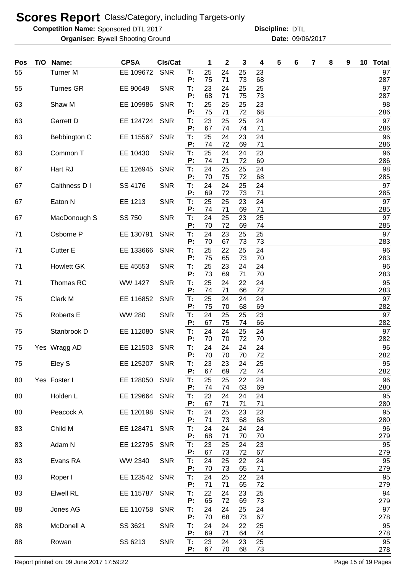**Competition Name:** Sponsored DTL 2017 **Discripline: DTL** 

Bywell Shooting Ground 09/06/2017 **Organiser: Date:**

| Pos | T/O | Name:             | <b>CPSA</b>   | CIs/Cat    |                | 1              | 2              | 3              | 4              | 5 | 6 | 7 | 8 | 9 | 10 <sup>°</sup> | <b>Total</b>     |
|-----|-----|-------------------|---------------|------------|----------------|----------------|----------------|----------------|----------------|---|---|---|---|---|-----------------|------------------|
| 55  |     | <b>Turner M</b>   | EE 109672     | <b>SNR</b> | Т:<br>P:       | 25<br>75       | 24<br>71       | 25<br>73       | 23<br>68       |   |   |   |   |   |                 | 97<br>287        |
| 55  |     | <b>Turnes GR</b>  | EE 90649      | <b>SNR</b> | T:<br>P:       | 23<br>68       | 24<br>71       | 25<br>75       | 25<br>73       |   |   |   |   |   |                 | 97<br>287        |
| 63  |     | Shaw M            | EE 109986     | <b>SNR</b> | Т:<br>P:       | 25<br>75       | 25<br>71       | 25<br>72       | 23<br>68       |   |   |   |   |   |                 | 98<br>286        |
| 63  |     | Garrett D         | EE 124724     | <b>SNR</b> | T:             | 23             | 25             | 25             | 24             |   |   |   |   |   |                 | 97               |
| 63  |     | Bebbington C      | EE 115567     | <b>SNR</b> | P:<br>Τ.<br>P: | 67<br>25<br>74 | 74<br>24<br>72 | 74<br>23       | 71<br>24<br>71 |   |   |   |   |   |                 | 286<br>96<br>286 |
| 63  |     | Common T          | EE 10430      | <b>SNR</b> | Τ.<br>P:       | 25<br>74       | 24<br>71       | 69<br>24<br>72 | 23<br>69       |   |   |   |   |   |                 | 96<br>286        |
| 67  |     | Hart RJ           | EE 126945     | <b>SNR</b> | Т:<br>P:       | 24<br>70       | 25<br>75       | 25<br>72       | 24<br>68       |   |   |   |   |   |                 | 98<br>285        |
| 67  |     | Caithness D I     | SS 4176       | <b>SNR</b> | Τ.             | 24             | 24             | 25             | 24             |   |   |   |   |   |                 | 97               |
| 67  |     | Eaton N           | EE 1213       | <b>SNR</b> | P:<br>T:       | 69<br>25       | 72<br>25       | 73<br>23       | 71<br>24       |   |   |   |   |   |                 | 285<br>97        |
| 67  |     | MacDonough S      | SS 750        | <b>SNR</b> | P:<br>T:       | 74<br>24       | 71<br>25       | 69<br>23       | 71<br>25       |   |   |   |   |   |                 | 285<br>97        |
| 71  |     | Osborne P         | EE 130791     | <b>SNR</b> | P:<br>T:       | 70<br>24       | 72<br>23       | 69<br>25       | 74<br>25       |   |   |   |   |   |                 | 285<br>97        |
| 71  |     | <b>Cutter E</b>   | EE 133666     | <b>SNR</b> | P:<br>T:       | 70<br>25       | 67<br>22       | 73<br>25       | 73<br>24       |   |   |   |   |   |                 | 283<br>96        |
| 71  |     | <b>Howlett GK</b> | EE 45553      | <b>SNR</b> | P:<br>T:       | 75<br>25       | 65<br>23       | 73<br>24       | 70<br>24       |   |   |   |   |   |                 | 283<br>96        |
| 71  |     | Thomas RC         | WW 1427       | <b>SNR</b> | P:<br>T:       | 73<br>25       | 69<br>24       | 71<br>22       | 70<br>24       |   |   |   |   |   |                 | 283<br>95        |
| 75  |     | Clark M           | EE 116852     | <b>SNR</b> | P:<br>T:       | 74<br>25       | 71<br>24       | 66<br>24       | 72<br>24       |   |   |   |   |   |                 | 283<br>97        |
| 75  |     | Roberts E         | <b>WW 280</b> | <b>SNR</b> | P:<br>T:       | 75<br>24       | 70<br>25       | 68<br>25       | 69<br>23       |   |   |   |   |   |                 | 282<br>97        |
| 75  |     | Stanbrook D       | EE 112080     | <b>SNR</b> | Р:<br>T:       | 67<br>24       | 75<br>24       | 74<br>25       | 66<br>24       |   |   |   |   |   |                 | 282<br>97        |
| 75  |     | Yes Wragg AD      | EE 121503     | <b>SNR</b> | P:<br>T:       | 70<br>24       | 70<br>24       | 72<br>24       | 70<br>24       |   |   |   |   |   |                 | 282<br>96        |
|     |     |                   |               |            | P:             | 70             | 70             | 70             | 72             |   |   |   |   |   |                 | 282              |
| 75  |     | Eley S            | EE 125207 SNR |            | Т.<br>Ρ.       | 23<br>67       | 23<br>69       | 24<br>72       | 25<br>74       |   |   |   |   |   |                 | 95<br>282        |
| 80  |     | Yes Foster I      | EE 128050 SNR |            | T:<br>P:       | 25<br>74       | 25<br>74       | 22<br>63       | 24<br>69       |   |   |   |   |   |                 | 96<br>280        |
| 80  |     | Holden L          | EE 129664 SNR |            | T.<br>P:       | 23<br>67       | 24<br>71       | 24<br>71       | 24<br>71       |   |   |   |   |   |                 | 95<br>280        |
| 80  |     | Peacock A         | EE 120198     | <b>SNR</b> | T:<br>P:       | 24<br>71       | 25<br>73       | 23<br>68       | 23<br>68       |   |   |   |   |   |                 | 95<br>280        |
| 83  |     | Child M           | EE 128471     | <b>SNR</b> | T:             | 24             | 24             | 24             | 24             |   |   |   |   |   |                 | 96               |
| 83  |     | Adam N            | EE 122795     | <b>SNR</b> | P:<br>T:       | 68<br>23       | 71<br>25       | 70<br>24       | 70<br>23       |   |   |   |   |   |                 | 279<br>95        |
| 83  |     | Evans RA          | WW 2340       | <b>SNR</b> | P:<br>T:       | 67<br>24       | 73<br>25       | 72<br>22       | 67<br>24       |   |   |   |   |   |                 | 279<br>95        |
| 83  |     | Roper I           | EE 123542     | <b>SNR</b> | P:<br>T:       | 70<br>24       | 73<br>25       | 65<br>22       | 71<br>24       |   |   |   |   |   |                 | 279<br>95        |
| 83  |     | <b>Elwell RL</b>  | EE 115787     | <b>SNR</b> | P:<br>T:       | 71<br>22       | 71<br>24       | 65<br>23       | 72<br>25       |   |   |   |   |   |                 | 279<br>94        |
| 88  |     | Jones AG          | EE 110758     | <b>SNR</b> | P:<br>Т.       | 65<br>24       | 72<br>24       | 69<br>25       | 73<br>24       |   |   |   |   |   |                 | 279<br>97        |
|     |     |                   |               |            | P:             | 70             | 68             | 73             | 67             |   |   |   |   |   |                 | 278              |
| 88  |     | McDonell A        | SS 3621       | <b>SNR</b> | T:<br>P:       | 24<br>69       | 24<br>71       | 22<br>64       | 25<br>74       |   |   |   |   |   |                 | 95<br>278        |
| 88  |     | Rowan             | SS 6213       | <b>SNR</b> | T:<br>P:       | 23<br>67       | 24<br>70       | 23<br>68       | 25<br>73       |   |   |   |   |   |                 | 95<br>278        |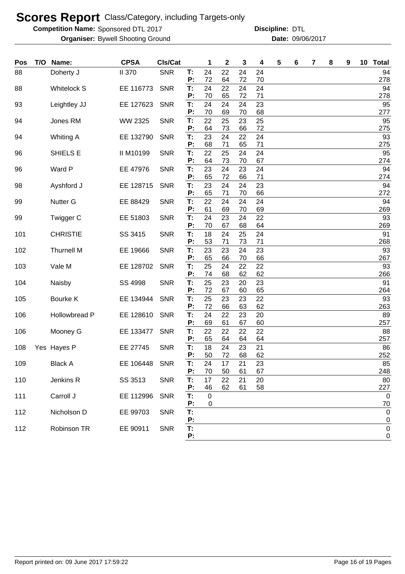**Competition Name:** Sponsored DTL 2017 **Discripline: DTL** 

Bywell Shooting Ground 09/06/2017 **Organiser: Date:**

| Pos | T/O | Name:              | <b>CPSA</b>   | Cls/Cat    |          | 1           | 2        | 3        | 4        | 5 | 6 | 7 | 8 | 9 | 10 <sub>1</sub> | <b>Total</b>    |
|-----|-----|--------------------|---------------|------------|----------|-------------|----------|----------|----------|---|---|---|---|---|-----------------|-----------------|
| 88  |     | Doherty J          | <b>II 370</b> | <b>SNR</b> | T:       | 24          | 22       | 24       | 24       |   |   |   |   |   |                 | 94              |
|     |     |                    |               |            | P:       | 72          | 64       | 72       | 70       |   |   |   |   |   |                 | 278             |
| 88  |     | <b>Whitelock S</b> | EE 116773     | <b>SNR</b> | T:<br>P: | 24<br>70    | 22<br>65 | 24<br>72 | 24<br>71 |   |   |   |   |   |                 | 94<br>278       |
| 93  |     | Leightley JJ       | EE 127623     | <b>SNR</b> | T:       | 24          | 24       | 24       | 23       |   |   |   |   |   |                 | 95              |
|     |     |                    |               |            | Ρ.       | 70          | 69       | 70       | 68       |   |   |   |   |   |                 | 277             |
| 94  |     | Jones RM           | WW 2325       | <b>SNR</b> | T:       | 22          | 25       | 23       | 25       |   |   |   |   |   |                 | 95              |
|     |     |                    |               |            | P:       | 64          | 73       | 66       | 72       |   |   |   |   |   |                 | 275             |
| 94  |     | <b>Whiting A</b>   | EE 132790     | <b>SNR</b> | T:<br>P: | 23<br>68    | 24<br>71 | 22<br>65 | 24<br>71 |   |   |   |   |   |                 | 93<br>275       |
| 96  |     | SHIELS E           | II M10199     | <b>SNR</b> | T:       | 22          | 25       | 24       | 24       |   |   |   |   |   |                 | 95              |
|     |     |                    |               |            | P:       | 64          | 73       | 70       | 67       |   |   |   |   |   |                 | 274             |
| 96  |     | Ward P             | EE 47976      | <b>SNR</b> | T:       | 23          | 24       | 23       | 24       |   |   |   |   |   |                 | 94              |
|     |     |                    |               |            | P:       | 65          | 72       | 66       | 71       |   |   |   |   |   |                 | 274             |
| 98  |     | Ayshford J         | EE 128715     | <b>SNR</b> | T.<br>Р: | 23<br>65    | 24<br>71 | 24<br>70 | 23<br>66 |   |   |   |   |   |                 | 94<br>272       |
| 99  |     | <b>Nutter G</b>    | EE 88429      | <b>SNR</b> | T:       | 22          | 24       | 24       | 24       |   |   |   |   |   |                 | 94              |
|     |     |                    |               |            | P:       | 61          | 69       | 70       | 69       |   |   |   |   |   |                 | 269             |
| 99  |     | Twigger C          | EE 51803      | <b>SNR</b> | T:       | 24          | 23       | 24       | 22       |   |   |   |   |   |                 | 93              |
|     |     |                    |               |            | Ρ.       | 70          | 67       | 68       | 64       |   |   |   |   |   |                 | 269             |
| 101 |     | <b>CHRISTIE</b>    | SS 3415       | <b>SNR</b> | T:       | 18          | 24       | 25       | 24       |   |   |   |   |   |                 | 91              |
| 102 |     | <b>Thurnell M</b>  | EE 19666      | <b>SNR</b> | Ρ:<br>T. | 53<br>23    | 71<br>23 | 73<br>24 | 71<br>23 |   |   |   |   |   |                 | 268<br>93       |
|     |     |                    |               |            | P:       | 65          | 66       | 70       | 66       |   |   |   |   |   |                 | 267             |
| 103 |     | Vale M             | EE 128702     | <b>SNR</b> | T:       | 25          | 24       | 22       | 22       |   |   |   |   |   |                 | 93              |
|     |     |                    |               |            | P:       | 74          | 68       | 62       | 62       |   |   |   |   |   |                 | 266             |
| 104 |     | Naisby             | SS 4998       | <b>SNR</b> | T:       | 25          | 23       | 20       | 23       |   |   |   |   |   |                 | 91              |
|     |     |                    |               |            | P:       | 72          | 67       | 60       | 65       |   |   |   |   |   |                 | 264             |
| 105 |     | Bourke K           | EE 134944     | <b>SNR</b> | T:<br>P: | 25<br>72    | 23<br>66 | 23<br>63 | 22<br>62 |   |   |   |   |   |                 | 93<br>263       |
| 106 |     | Hollowbread P      | EE 128610     | <b>SNR</b> | T:       | 24          | 22       | 23       | 20       |   |   |   |   |   |                 | 89              |
|     |     |                    |               |            | P:       | 69          | 61       | 67       | 60       |   |   |   |   |   |                 | 257             |
| 106 |     | Mooney G           | EE 133477     | <b>SNR</b> | T:       | 22          | 22       | 22       | 22       |   |   |   |   |   |                 | 88              |
|     |     |                    |               |            | P:       | 65          | 64       | 64       | 64       |   |   |   |   |   |                 | 257             |
| 108 |     | Yes Hayes P        | EE 27745      | <b>SNR</b> | T:<br>P: | 18<br>50    | 24<br>72 | 23<br>68 | 21<br>62 |   |   |   |   |   |                 | 86<br>252       |
| 109 |     | <b>Black A</b>     | EE 106448     | <b>SNR</b> | T:       | 24          | 17       | 21       | 23       |   |   |   |   |   |                 | 85              |
|     |     |                    |               |            | P:       | 70          | 50       | 61       | 67       |   |   |   |   |   |                 | 248             |
| 110 |     | Jenkins R          | SS 3513       | <b>SNR</b> | T:       | 17          | 22       | 21       | 20       |   |   |   |   |   |                 | 80              |
|     |     |                    |               |            | Ρ.       | 46          | 62       | 61       | 58       |   |   |   |   |   |                 | 227             |
| 111 |     | Carroll J          | EE 112996     | <b>SNR</b> | Т.       | $\pmb{0}$   |          |          |          |   |   |   |   |   |                 | $\mathbf 0$     |
| 112 |     | Nicholson D        | EE 99703      | <b>SNR</b> | Ρ.<br>T. | $\mathbf 0$ |          |          |          |   |   |   |   |   |                 | 70<br>$\pmb{0}$ |
|     |     |                    |               |            | P:       |             |          |          |          |   |   |   |   |   |                 | 0               |
| 112 |     | Robinson TR        | EE 90911      | <b>SNR</b> | T.       |             |          |          |          |   |   |   |   |   |                 | $\mathsf 0$     |
|     |     |                    |               |            | P:       |             |          |          |          |   |   |   |   |   |                 | 0               |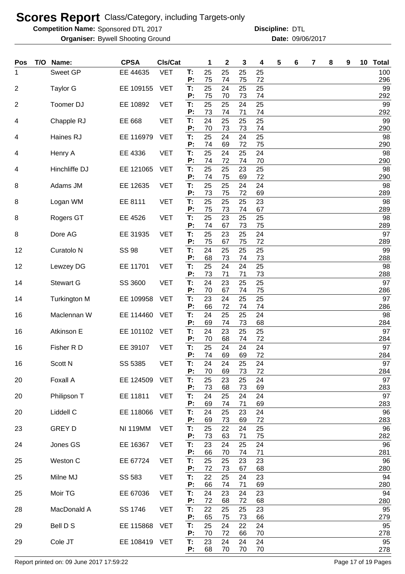**Competition Name:** Sponsored DTL 2017 **Discripline: DTL** 

Bywell Shooting Ground 09/06/2017 **Organiser: Date:**

| Pos            | T/O | Name:                 | <b>CPSA</b>     | CIs/Cat    |          | 1        | 2        | 3        | 4          | 5 | 6 | 7 | 8 | 9 | 10 | <b>Total</b> |
|----------------|-----|-----------------------|-----------------|------------|----------|----------|----------|----------|------------|---|---|---|---|---|----|--------------|
| 1              |     | <b>Sweet GP</b>       | EE 44635        | <b>VET</b> | T:<br>P: | 25<br>75 | 25<br>74 | 25<br>75 | 25<br>72   |   |   |   |   |   |    | 100<br>296   |
| 2              |     | <b>Taylor G</b>       | EE 109155       | <b>VET</b> | T:<br>P: | 25<br>75 | 24<br>70 | 25<br>73 | 25<br>74   |   |   |   |   |   |    | 99<br>292    |
| $\overline{c}$ |     | Toomer DJ             | EE 10892        | <b>VET</b> | T:       | 25       | 25       | 24       | 25         |   |   |   |   |   |    | 99           |
| 4              |     | Chapple RJ            | EE 668          | <b>VET</b> | P:<br>T: | 73<br>24 | 74<br>25 | 71<br>25 | 74<br>25   |   |   |   |   |   |    | 292<br>99    |
| 4              |     | Haines RJ             | EE 116979       | <b>VET</b> | P:<br>T: | 70<br>25 | 73<br>24 | 73<br>24 | 74<br>25   |   |   |   |   |   |    | 290<br>98    |
| 4              |     | Henry A               | EE 4336         | <b>VET</b> | P:<br>T: | 74<br>25 | 69<br>24 | 72<br>25 | 75<br>24   |   |   |   |   |   |    | 290<br>98    |
| 4              |     | Hinchliffe DJ         | EE 121065       | <b>VET</b> | P:<br>T: | 74<br>25 | 72<br>25 | 74<br>23 | 70<br>25   |   |   |   |   |   |    | 290<br>98    |
|                |     | Adams JM              | EE 12635        | <b>VET</b> | P:<br>T: | 74<br>25 | 75<br>25 | 69<br>24 | 72<br>24   |   |   |   |   |   |    | 290<br>98    |
| 8              |     |                       |                 |            | Р:       | 73       | 75       | 72       | 69         |   |   |   |   |   |    | 289          |
| 8              |     | Logan WM              | EE 8111         | <b>VET</b> | T:<br>Р: | 25<br>75 | 25<br>73 | 25<br>74 | 23<br>67   |   |   |   |   |   |    | 98<br>289    |
| 8              |     | Rogers GT             | EE 4526         | <b>VET</b> | T:<br>P: | 25<br>74 | 23<br>67 | 25<br>73 | 25<br>75   |   |   |   |   |   |    | 98<br>289    |
| 8              |     | Dore AG               | EE 31935        | <b>VET</b> | T:<br>P: | 25<br>75 | 23<br>67 | 25<br>75 | 24<br>72   |   |   |   |   |   |    | 97<br>289    |
| 12             |     | Curatolo <sub>N</sub> | <b>SS 98</b>    | <b>VET</b> | T:<br>P: | 24       | 25       | 25       | 25         |   |   |   |   |   |    | 99           |
| 12             |     | Lewzey DG             | EE 11701        | <b>VET</b> | T:       | 68<br>25 | 73<br>24 | 74<br>24 | 73<br>25   |   |   |   |   |   |    | 288<br>98    |
| 14             |     | <b>Stewart G</b>      | SS 3600         | <b>VET</b> | P:<br>T: | 73<br>24 | 71<br>23 | 71<br>25 | 73<br>25   |   |   |   |   |   |    | 288<br>97    |
| 14             |     | <b>Turkington M</b>   | EE 109958       | <b>VET</b> | P:<br>T: | 70<br>23 | 67<br>24 | 74<br>25 | 75<br>25   |   |   |   |   |   |    | 286<br>97    |
| 16             |     | Maclennan W           | EE 114460       | <b>VET</b> | P:<br>T. | 66<br>24 | 72<br>25 | 74<br>25 | 74<br>24   |   |   |   |   |   |    | 286<br>98    |
| 16             |     | Atkinson E            | EE 101102       | <b>VET</b> | P:<br>T. | 69<br>24 | 74<br>23 | 73<br>25 | 68<br>25   |   |   |   |   |   |    | 284<br>97    |
|                |     |                       |                 |            | P:       | 70       | 68       | 74       | 72         |   |   |   |   |   |    | 284          |
| 16             |     | Fisher R D            | EE 39107        | <b>VET</b> | T:<br>P: | 25<br>74 | 24<br>69 | 24<br>69 | 24<br>72   |   |   |   |   |   |    | 97<br>284    |
| 16             |     | Scott N               | SS 5385         | VET        | T:<br>P: | 24<br>70 | 24<br>69 | 25<br>73 | 24<br>72   |   |   |   |   |   |    | 97<br>284    |
| 20             |     | Foxall A              | EE 124509       | <b>VET</b> | T:<br>Ρ: | 25<br>73 | 23<br>68 | 25<br>73 | 24<br>69   |   |   |   |   |   |    | 97<br>283    |
| 20             |     | Philipson T           | EE 11811        | <b>VET</b> | T:<br>Ρ: | 24<br>69 | 25<br>74 | 24<br>71 | 24<br>69   |   |   |   |   |   |    | 97<br>283    |
| 20             |     | Liddell C             | EE 118066       | <b>VET</b> | T:       | 24       | 25       | 23       | 24         |   |   |   |   |   |    | 96           |
| 23             |     | <b>GREY D</b>         | <b>NI 119MM</b> | <b>VET</b> | Ρ:<br>T: | 69<br>25 | 73<br>22 | 69<br>24 | 72<br>25   |   |   |   |   |   |    | 283<br>96    |
| 24             |     | Jones GS              | EE 16367        | <b>VET</b> | P:<br>T: | 73<br>23 | 63<br>24 | 71<br>25 | 75<br>24   |   |   |   |   |   |    | 282<br>96    |
| 25             |     | Weston C              | EE 67724        | <b>VET</b> | P:<br>T: | 66<br>25 | 70<br>25 | 74<br>23 | $71$<br>23 |   |   |   |   |   |    | 281<br>96    |
| 25             |     | Milne MJ              | SS 583          | <b>VET</b> | P:<br>T: | 72<br>22 | 73<br>25 | 67<br>24 | 68<br>23   |   |   |   |   |   |    | 280<br>94    |
|                |     |                       |                 |            | P:       | 66<br>24 | 74       | 71       | 69         |   |   |   |   |   |    | 280<br>94    |
| 25             |     | Moir TG               | EE 67036        | <b>VET</b> | T:<br>P: | 72       | 23<br>68 | 24<br>72 | 23<br>68   |   |   |   |   |   |    | 280          |
| 28             |     | MacDonald A           | SS 1746         | <b>VET</b> | T:<br>P: | 22<br>65 | 25<br>75 | 25<br>73 | 23<br>66   |   |   |   |   |   |    | 95<br>279    |
| 29             |     | Bell D S              | EE 115868       | <b>VET</b> | T:<br>P: | 25<br>70 | 24<br>72 | 22<br>66 | 24<br>70   |   |   |   |   |   |    | 95<br>278    |
| 29             |     | Cole JT               | EE 108419 VET   |            | T:<br>Р: | 23<br>68 | 24<br>70 | 24<br>70 | 24<br>70   |   |   |   |   |   |    | 95<br>278    |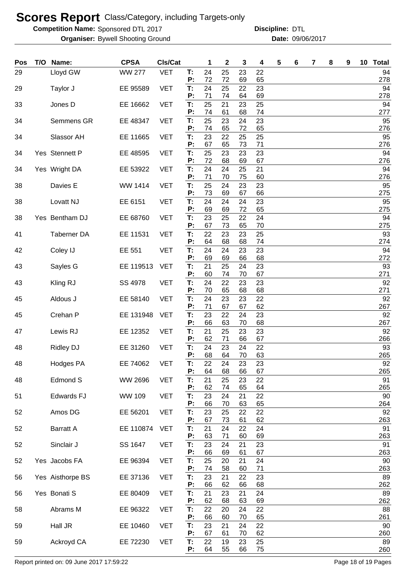**Competition Name:** Sponsored DTL 2017 **Discripline: DTL** 

Bywell Shooting Ground 09/06/2017 **Organiser: Date:**

| Pos | T/O | Name:             | <b>CPSA</b>   | Cls/Cat    |          | 1        | 2        | 3        | 4        | 5 | 6 | 7 | 8 | 9 | 10 <sub>1</sub> | <b>Total</b> |
|-----|-----|-------------------|---------------|------------|----------|----------|----------|----------|----------|---|---|---|---|---|-----------------|--------------|
| 29  |     | Lloyd GW          | <b>WW 277</b> | <b>VET</b> | T:<br>P: | 24<br>72 | 25<br>72 | 23<br>69 | 22<br>65 |   |   |   |   |   |                 | 94<br>278    |
| 29  |     | Taylor J          | EE 95589      | <b>VET</b> | T:       | 24       | 25       | 22       | 23       |   |   |   |   |   |                 | 94           |
|     |     |                   |               |            | P:       | 71       | 74       | 64       | 69       |   |   |   |   |   |                 | 278          |
| 33  |     | Jones D           | EE 16662      | <b>VET</b> | T:<br>P: | 25<br>74 | 21<br>61 | 23<br>68 | 25<br>74 |   |   |   |   |   |                 | 94<br>277    |
| 34  |     | Semmens GR        | EE 48347      | <b>VET</b> | T:       | 25       | 23       | 24       | 23       |   |   |   |   |   |                 | 95           |
| 34  |     | Slassor AH        | EE 11665      | <b>VET</b> | P:<br>T. | 74<br>23 | 65<br>22 | 72<br>25 | 65<br>25 |   |   |   |   |   |                 | 276<br>95    |
|     |     |                   |               |            | P:       | 67       | 65       | 73       | 71       |   |   |   |   |   |                 | 276          |
| 34  |     | Yes Stennett P    | EE 48595      | <b>VET</b> | T.<br>P: | 25<br>72 | 23<br>68 | 23<br>69 | 23<br>67 |   |   |   |   |   |                 | 94<br>276    |
| 34  |     | Yes Wright DA     | EE 53922      | <b>VET</b> | T:       | 24       | 24       | 25       | 21       |   |   |   |   |   |                 | 94           |
| 38  |     | Davies E          | WW 1414       | <b>VET</b> | P:<br>T: | 71<br>25 | 70<br>24 | 75<br>23 | 60<br>23 |   |   |   |   |   |                 | 276<br>95    |
|     |     |                   |               |            | Ρ.       | 73       | 69       | 67       | 66       |   |   |   |   |   |                 | 275          |
| 38  |     | Lovatt NJ         | EE 6151       | <b>VET</b> | T:<br>P: | 24<br>69 | 24<br>69 | 24<br>72 | 23<br>65 |   |   |   |   |   |                 | 95<br>275    |
| 38  |     | Yes Bentham DJ    | EE 68760      | <b>VET</b> | T:       | 23       | 25       | 22       | 24       |   |   |   |   |   |                 | 94           |
| 41  |     | Taberner DA       | EE 11531      | <b>VET</b> | Р:<br>T: | 67<br>22 | 73<br>23 | 65<br>23 | 70<br>25 |   |   |   |   |   |                 | 275<br>93    |
|     |     |                   |               |            | P:       | 64       | 68       | 68       | 74       |   |   |   |   |   |                 | 274          |
| 42  |     | Coley IJ          | EE 551        | <b>VET</b> | T:<br>P: | 24<br>69 | 24<br>69 | 23<br>66 | 23<br>68 |   |   |   |   |   |                 | 94<br>272    |
| 43  |     | Sayles G          | EE 119513     | <b>VET</b> | T:       | 21       | 25       | 24       | 23       |   |   |   |   |   |                 | 93           |
|     |     |                   | SS 4978       | <b>VET</b> | P:<br>T: | 60<br>24 | 74<br>22 | 70<br>23 | 67<br>23 |   |   |   |   |   |                 | 271<br>92    |
| 43  |     | Kling RJ          |               |            | P:       | 70       | 65       | 68       | 68       |   |   |   |   |   |                 | 271          |
| 45  |     | Aldous J          | EE 58140      | <b>VET</b> | T:<br>P: | 24<br>71 | 23<br>67 | 23<br>67 | 22<br>62 |   |   |   |   |   |                 | 92<br>267    |
| 45  |     | Crehan P          | EE 131948     | <b>VET</b> | T:       | 23       | 22       | 24       | 23       |   |   |   |   |   |                 | 92           |
|     |     |                   |               |            | P:       | 66       | 63       | 70       | 68       |   |   |   |   |   |                 | 267          |
| 47  |     | Lewis RJ          | EE 12352      | <b>VET</b> | T:<br>P: | 21<br>62 | 25<br>71 | 23<br>66 | 23<br>67 |   |   |   |   |   |                 | 92<br>266    |
| 48  |     | <b>Ridley DJ</b>  | EE 31260      | <b>VET</b> | T.<br>P: | 24       | 23<br>64 | 24       | 22       |   |   |   |   |   |                 | 93           |
| 48  |     | Hodges PA         | EE 74062      | <b>VET</b> | T:       | 68<br>22 | 24       | 70<br>23 | 63<br>23 |   |   |   |   |   |                 | 265<br>92    |
|     |     |                   |               |            | P:       | 64       | 68       | 66       | 67       |   |   |   |   |   |                 | 265          |
| 48  |     | Edmond S          | WW 2696       | <b>VET</b> | T:<br>P: | 21<br>62 | 25<br>74 | 23<br>65 | 22<br>64 |   |   |   |   |   |                 | 91<br>265    |
| 51  |     | <b>Edwards FJ</b> | WW 109        | <b>VET</b> | T:<br>P: | 23<br>66 | 24       | 21       | 22       |   |   |   |   |   |                 | 90           |
| 52  |     | Amos DG           | EE 56201      | <b>VET</b> | T:       | 23       | 70<br>25 | 63<br>22 | 65<br>22 |   |   |   |   |   |                 | 264<br>92    |
|     |     |                   |               |            | P:       | 67       | 73       | 61       | 62       |   |   |   |   |   |                 | 263          |
| 52  |     | <b>Barratt A</b>  | EE 110874     | <b>VET</b> | T:<br>P: | 21<br>63 | 24<br>71 | 22<br>60 | 24<br>69 |   |   |   |   |   |                 | 91<br>263    |
| 52  |     | Sinclair J        | SS 1647       | <b>VET</b> | T:       | 23       | 24       | 21       | 23       |   |   |   |   |   |                 | 91           |
| 52  |     | Yes Jacobs FA     | EE 96394      | <b>VET</b> | P:<br>T: | 66<br>25 | 69<br>20 | 61<br>21 | 67<br>24 |   |   |   |   |   |                 | 263<br>90    |
|     |     |                   |               |            | P:       | 74       | 58       | 60       | 71       |   |   |   |   |   |                 | 263          |
| 56  |     | Yes Aisthorpe BS  | EE 37136      | <b>VET</b> | T:<br>P: | 23<br>66 | 21<br>62 | 22<br>66 | 23<br>68 |   |   |   |   |   |                 | 89<br>262    |
| 56  |     | Yes Bonati S      | EE 80409      | <b>VET</b> | T:       | 21       | 23       | 21       | 24       |   |   |   |   |   |                 | 89           |
| 58  |     | Abrams M          | EE 96322      | <b>VET</b> | P:<br>T: | 62<br>22 | 68<br>20 | 63<br>24 | 69<br>22 |   |   |   |   |   |                 | 262<br>88    |
|     |     |                   |               |            | P:       | 66       | 60       | 70       | 65       |   |   |   |   |   |                 | 261          |
| 59  |     | Hall JR           | EE 10460      | <b>VET</b> | T:<br>P: | 23<br>67 | 21<br>61 | 24<br>70 | 22<br>62 |   |   |   |   |   |                 | 90<br>260    |
| 59  |     | Ackroyd CA        | EE 72230      | <b>VET</b> | T:       | 22       | 19       | 23       | 25       |   |   |   |   |   |                 | 89           |
|     |     |                   |               |            | P:       | 64       | 55       | 66       | 75       |   |   |   |   |   |                 | 260          |